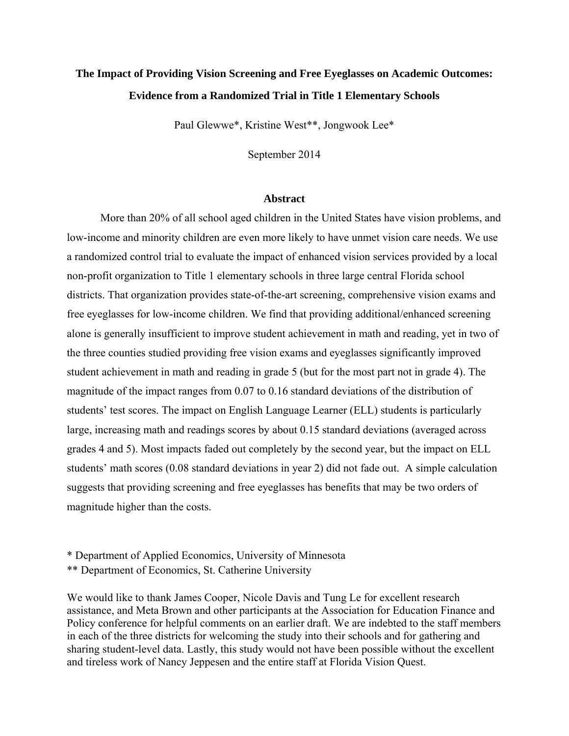# **The Impact of Providing Vision Screening and Free Eyeglasses on Academic Outcomes: Evidence from a Randomized Trial in Title 1 Elementary Schools**

Paul Glewwe\*, Kristine West\*\*, Jongwook Lee\*

September 2014

### **Abstract**

More than 20% of all school aged children in the United States have vision problems, and low-income and minority children are even more likely to have unmet vision care needs. We use a randomized control trial to evaluate the impact of enhanced vision services provided by a local non-profit organization to Title 1 elementary schools in three large central Florida school districts. That organization provides state-of-the-art screening, comprehensive vision exams and free eyeglasses for low-income children. We find that providing additional/enhanced screening alone is generally insufficient to improve student achievement in math and reading, yet in two of the three counties studied providing free vision exams and eyeglasses significantly improved student achievement in math and reading in grade 5 (but for the most part not in grade 4). The magnitude of the impact ranges from 0.07 to 0.16 standard deviations of the distribution of students' test scores. The impact on English Language Learner (ELL) students is particularly large, increasing math and readings scores by about 0.15 standard deviations (averaged across grades 4 and 5). Most impacts faded out completely by the second year, but the impact on ELL students' math scores (0.08 standard deviations in year 2) did not fade out. A simple calculation suggests that providing screening and free eyeglasses has benefits that may be two orders of magnitude higher than the costs.

\*\* Department of Economics, St. Catherine University

We would like to thank James Cooper, Nicole Davis and Tung Le for excellent research assistance, and Meta Brown and other participants at the Association for Education Finance and Policy conference for helpful comments on an earlier draft. We are indebted to the staff members in each of the three districts for welcoming the study into their schools and for gathering and sharing student-level data. Lastly, this study would not have been possible without the excellent and tireless work of Nancy Jeppesen and the entire staff at Florida Vision Quest.

<sup>\*</sup> Department of Applied Economics, University of Minnesota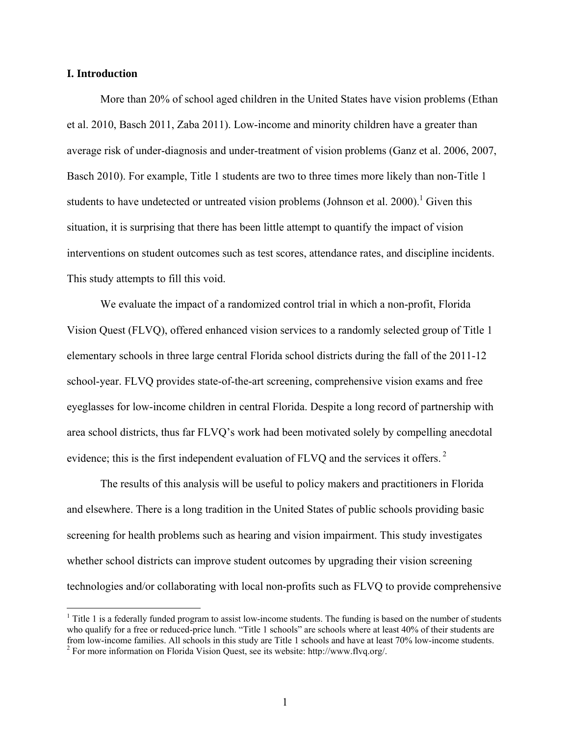### **I. Introduction**

More than 20% of school aged children in the United States have vision problems (Ethan et al. 2010, Basch 2011, Zaba 2011). Low-income and minority children have a greater than average risk of under-diagnosis and under-treatment of vision problems (Ganz et al. 2006, 2007, Basch 2010). For example, Title 1 students are two to three times more likely than non-Title 1 students to have undetected or untreated vision problems (Johnson et al. 2000).<sup>1</sup> Given this situation, it is surprising that there has been little attempt to quantify the impact of vision interventions on student outcomes such as test scores, attendance rates, and discipline incidents. This study attempts to fill this void.

 We evaluate the impact of a randomized control trial in which a non-profit, Florida Vision Quest (FLVQ), offered enhanced vision services to a randomly selected group of Title 1 elementary schools in three large central Florida school districts during the fall of the 2011-12 school-year. FLVQ provides state-of-the-art screening, comprehensive vision exams and free eyeglasses for low-income children in central Florida. Despite a long record of partnership with area school districts, thus far FLVQ's work had been motivated solely by compelling anecdotal evidence; this is the first independent evaluation of FLVQ and the services it offers.<sup>2</sup>

The results of this analysis will be useful to policy makers and practitioners in Florida and elsewhere. There is a long tradition in the United States of public schools providing basic screening for health problems such as hearing and vision impairment. This study investigates whether school districts can improve student outcomes by upgrading their vision screening technologies and/or collaborating with local non-profits such as FLVQ to provide comprehensive

Time 1 is a federally funded program to assist low-income students. The funding is based on the number of students who qualify for a free or reduced-price lunch. "Title 1 schools" are schools where at least 40% of their students are from low-income families. All schools in this study are Title 1 schools and have at least 70% low-income students. 2 For more information on Florida Vision Quest, see its website: http://www.flvq.org/.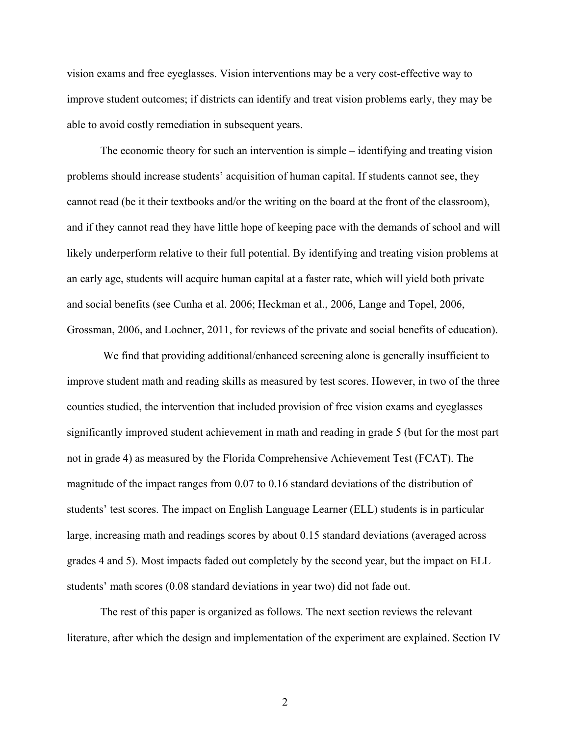vision exams and free eyeglasses. Vision interventions may be a very cost-effective way to improve student outcomes; if districts can identify and treat vision problems early, they may be able to avoid costly remediation in subsequent years.

The economic theory for such an intervention is simple – identifying and treating vision problems should increase students' acquisition of human capital. If students cannot see, they cannot read (be it their textbooks and/or the writing on the board at the front of the classroom), and if they cannot read they have little hope of keeping pace with the demands of school and will likely underperform relative to their full potential. By identifying and treating vision problems at an early age, students will acquire human capital at a faster rate, which will yield both private and social benefits (see Cunha et al. 2006; Heckman et al., 2006, Lange and Topel, 2006, Grossman, 2006, and Lochner, 2011, for reviews of the private and social benefits of education).

 We find that providing additional/enhanced screening alone is generally insufficient to improve student math and reading skills as measured by test scores. However, in two of the three counties studied, the intervention that included provision of free vision exams and eyeglasses significantly improved student achievement in math and reading in grade 5 (but for the most part not in grade 4) as measured by the Florida Comprehensive Achievement Test (FCAT). The magnitude of the impact ranges from 0.07 to 0.16 standard deviations of the distribution of students' test scores. The impact on English Language Learner (ELL) students is in particular large, increasing math and readings scores by about 0.15 standard deviations (averaged across grades 4 and 5). Most impacts faded out completely by the second year, but the impact on ELL students' math scores (0.08 standard deviations in year two) did not fade out.

The rest of this paper is organized as follows. The next section reviews the relevant literature, after which the design and implementation of the experiment are explained. Section IV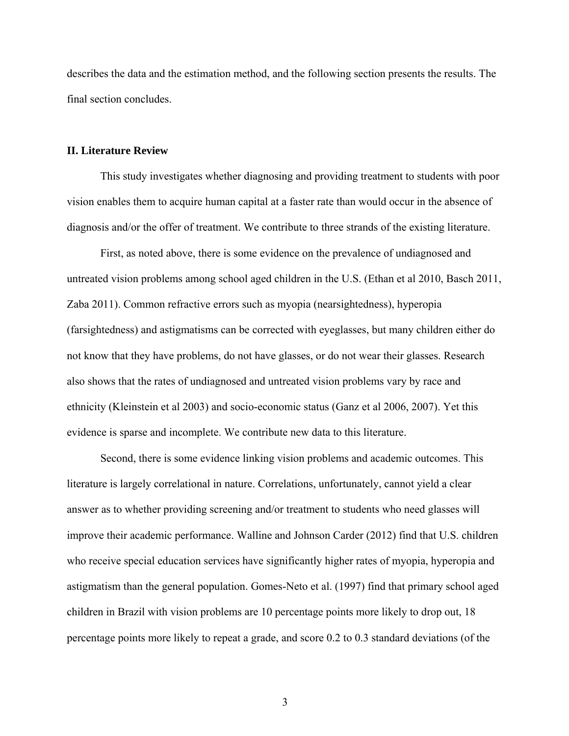describes the data and the estimation method, and the following section presents the results. The final section concludes.

#### **II. Literature Review**

This study investigates whether diagnosing and providing treatment to students with poor vision enables them to acquire human capital at a faster rate than would occur in the absence of diagnosis and/or the offer of treatment. We contribute to three strands of the existing literature.

First, as noted above, there is some evidence on the prevalence of undiagnosed and untreated vision problems among school aged children in the U.S. (Ethan et al 2010, Basch 2011, Zaba 2011). Common refractive errors such as myopia (nearsightedness), hyperopia (farsightedness) and astigmatisms can be corrected with eyeglasses, but many children either do not know that they have problems, do not have glasses, or do not wear their glasses. Research also shows that the rates of undiagnosed and untreated vision problems vary by race and ethnicity (Kleinstein et al 2003) and socio-economic status (Ganz et al 2006, 2007). Yet this evidence is sparse and incomplete. We contribute new data to this literature.

Second, there is some evidence linking vision problems and academic outcomes. This literature is largely correlational in nature. Correlations, unfortunately, cannot yield a clear answer as to whether providing screening and/or treatment to students who need glasses will improve their academic performance. Walline and Johnson Carder (2012) find that U.S. children who receive special education services have significantly higher rates of myopia, hyperopia and astigmatism than the general population. Gomes-Neto et al. (1997) find that primary school aged children in Brazil with vision problems are 10 percentage points more likely to drop out, 18 percentage points more likely to repeat a grade, and score 0.2 to 0.3 standard deviations (of the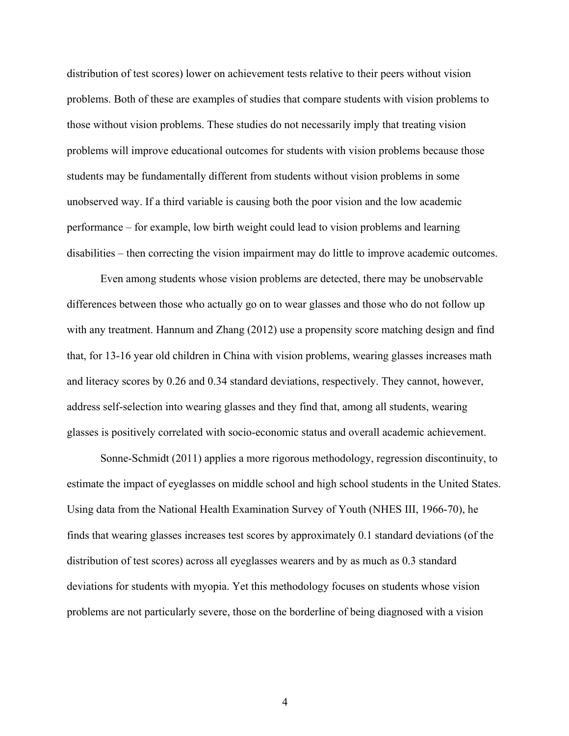distribution of test scores) lower on achievement tests relative to their peers without vision problems. Both of these are examples of studies that compare students with vision problems to those without vision problems. These studies do not necessarily imply that treating vision problems will improve educational outcomes for students with vision problems because those students may be fundamentally different from students without vision problems in some unobserved way. If a third variable is causing both the poor vision and the low academic performance – for example, low birth weight could lead to vision problems and learning disabilities – then correcting the vision impairment may do little to improve academic outcomes.

Even among students whose vision problems are detected, there may be unobservable differences between those who actually go on to wear glasses and those who do not follow up with any treatment. Hannum and Zhang (2012) use a propensity score matching design and find that, for 13-16 year old children in China with vision problems, wearing glasses increases math and literacy scores by 0.26 and 0.34 standard deviations, respectively. They cannot, however, address self-selection into wearing glasses and they find that, among all students, wearing glasses is positively correlated with socio-economic status and overall academic achievement.

Sonne-Schmidt (2011) applies a more rigorous methodology, regression discontinuity, to estimate the impact of eyeglasses on middle school and high school students in the United States. Using data from the National Health Examination Survey of Youth (NHES III, 1966-70), he finds that wearing glasses increases test scores by approximately 0.1 standard deviations (of the distribution of test scores) across all eyeglasses wearers and by as much as 0.3 standard deviations for students with myopia. Yet this methodology focuses on students whose vision problems are not particularly severe, those on the borderline of being diagnosed with a vision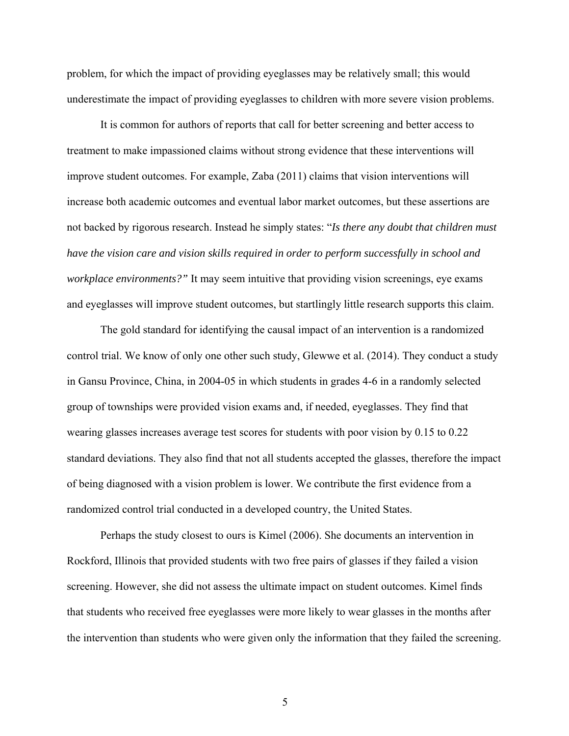problem, for which the impact of providing eyeglasses may be relatively small; this would underestimate the impact of providing eyeglasses to children with more severe vision problems.

It is common for authors of reports that call for better screening and better access to treatment to make impassioned claims without strong evidence that these interventions will improve student outcomes. For example, Zaba (2011) claims that vision interventions will increase both academic outcomes and eventual labor market outcomes, but these assertions are not backed by rigorous research. Instead he simply states: "*Is there any doubt that children must have the vision care and vision skills required in order to perform successfully in school and workplace environments?"* It may seem intuitive that providing vision screenings, eye exams and eyeglasses will improve student outcomes, but startlingly little research supports this claim.

The gold standard for identifying the causal impact of an intervention is a randomized control trial. We know of only one other such study, Glewwe et al. (2014). They conduct a study in Gansu Province, China, in 2004-05 in which students in grades 4-6 in a randomly selected group of townships were provided vision exams and, if needed, eyeglasses. They find that wearing glasses increases average test scores for students with poor vision by 0.15 to 0.22 standard deviations. They also find that not all students accepted the glasses, therefore the impact of being diagnosed with a vision problem is lower. We contribute the first evidence from a randomized control trial conducted in a developed country, the United States.

Perhaps the study closest to ours is Kimel (2006). She documents an intervention in Rockford, Illinois that provided students with two free pairs of glasses if they failed a vision screening. However, she did not assess the ultimate impact on student outcomes. Kimel finds that students who received free eyeglasses were more likely to wear glasses in the months after the intervention than students who were given only the information that they failed the screening.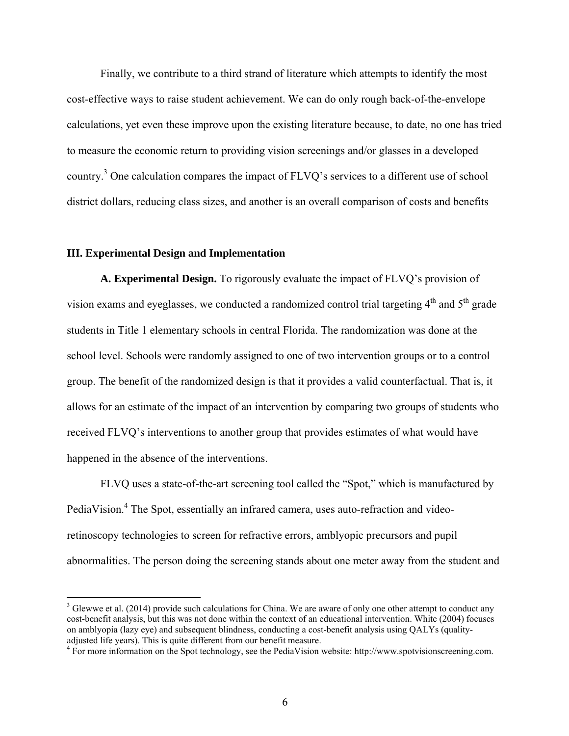Finally, we contribute to a third strand of literature which attempts to identify the most cost-effective ways to raise student achievement. We can do only rough back-of-the-envelope calculations, yet even these improve upon the existing literature because, to date, no one has tried to measure the economic return to providing vision screenings and/or glasses in a developed country.<sup>3</sup> One calculation compares the impact of FLVQ's services to a different use of school district dollars, reducing class sizes, and another is an overall comparison of costs and benefits

### **III. Experimental Design and Implementation**

1

**A. Experimental Design.** To rigorously evaluate the impact of FLVQ's provision of vision exams and eyeglasses, we conducted a randomized control trial targeting  $4<sup>th</sup>$  and  $5<sup>th</sup>$  grade students in Title 1 elementary schools in central Florida. The randomization was done at the school level. Schools were randomly assigned to one of two intervention groups or to a control group. The benefit of the randomized design is that it provides a valid counterfactual. That is, it allows for an estimate of the impact of an intervention by comparing two groups of students who received FLVQ's interventions to another group that provides estimates of what would have happened in the absence of the interventions.

FLVQ uses a state-of-the-art screening tool called the "Spot," which is manufactured by PediaVision.<sup>4</sup> The Spot, essentially an infrared camera, uses auto-refraction and videoretinoscopy technologies to screen for refractive errors, amblyopic precursors and pupil abnormalities. The person doing the screening stands about one meter away from the student and

 $3$  Glewwe et al. (2014) provide such calculations for China. We are aware of only one other attempt to conduct any cost-benefit analysis, but this was not done within the context of an educational intervention. White (2004) focuses on amblyopia (lazy eye) and subsequent blindness, conducting a cost-benefit analysis using QALYs (qualityadjusted life years). This is quite different from our benefit measure. 4

<sup>&</sup>lt;sup>4</sup> For more information on the Spot technology, see the PediaVision website: http://www.spotvisionscreening.com.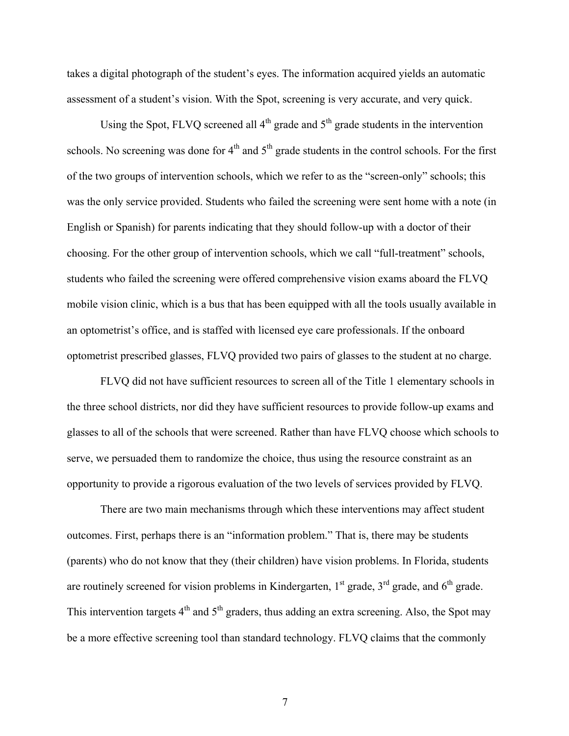takes a digital photograph of the student's eyes. The information acquired yields an automatic assessment of a student's vision. With the Spot, screening is very accurate, and very quick.

Using the Spot, FLVQ screened all  $4<sup>th</sup>$  grade and  $5<sup>th</sup>$  grade students in the intervention schools. No screening was done for  $4<sup>th</sup>$  and  $5<sup>th</sup>$  grade students in the control schools. For the first of the two groups of intervention schools, which we refer to as the "screen-only" schools; this was the only service provided. Students who failed the screening were sent home with a note (in English or Spanish) for parents indicating that they should follow-up with a doctor of their choosing. For the other group of intervention schools, which we call "full-treatment" schools, students who failed the screening were offered comprehensive vision exams aboard the FLVQ mobile vision clinic, which is a bus that has been equipped with all the tools usually available in an optometrist's office, and is staffed with licensed eye care professionals. If the onboard optometrist prescribed glasses, FLVQ provided two pairs of glasses to the student at no charge.

FLVQ did not have sufficient resources to screen all of the Title 1 elementary schools in the three school districts, nor did they have sufficient resources to provide follow-up exams and glasses to all of the schools that were screened. Rather than have FLVQ choose which schools to serve, we persuaded them to randomize the choice, thus using the resource constraint as an opportunity to provide a rigorous evaluation of the two levels of services provided by FLVQ.

There are two main mechanisms through which these interventions may affect student outcomes. First, perhaps there is an "information problem." That is, there may be students (parents) who do not know that they (their children) have vision problems. In Florida, students are routinely screened for vision problems in Kindergarten,  $1<sup>st</sup>$  grade,  $3<sup>rd</sup>$  grade, and  $6<sup>th</sup>$  grade. This intervention targets  $4<sup>th</sup>$  and  $5<sup>th</sup>$  graders, thus adding an extra screening. Also, the Spot may be a more effective screening tool than standard technology. FLVQ claims that the commonly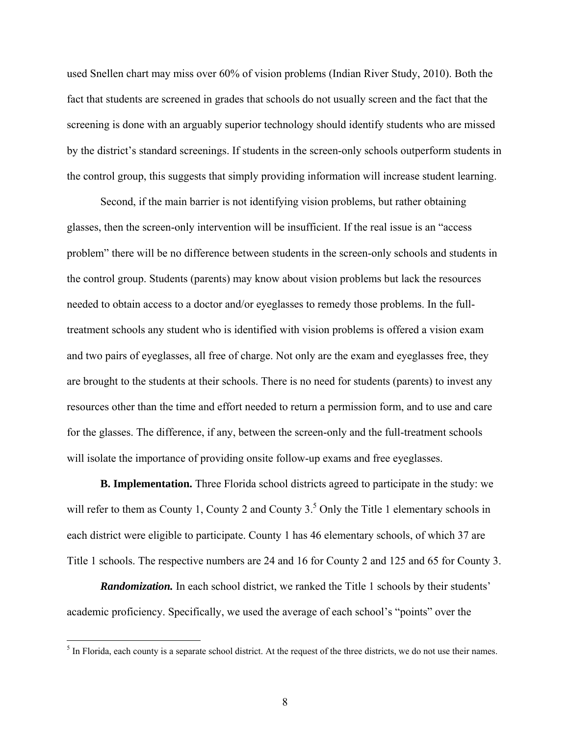used Snellen chart may miss over 60% of vision problems (Indian River Study, 2010). Both the fact that students are screened in grades that schools do not usually screen and the fact that the screening is done with an arguably superior technology should identify students who are missed by the district's standard screenings. If students in the screen-only schools outperform students in the control group, this suggests that simply providing information will increase student learning.

Second, if the main barrier is not identifying vision problems, but rather obtaining glasses, then the screen-only intervention will be insufficient. If the real issue is an "access problem" there will be no difference between students in the screen-only schools and students in the control group. Students (parents) may know about vision problems but lack the resources needed to obtain access to a doctor and/or eyeglasses to remedy those problems. In the fulltreatment schools any student who is identified with vision problems is offered a vision exam and two pairs of eyeglasses, all free of charge. Not only are the exam and eyeglasses free, they are brought to the students at their schools. There is no need for students (parents) to invest any resources other than the time and effort needed to return a permission form, and to use and care for the glasses. The difference, if any, between the screen-only and the full-treatment schools will isolate the importance of providing onsite follow-up exams and free eyeglasses.

**B. Implementation.** Three Florida school districts agreed to participate in the study: we will refer to them as County 1, County 2 and County  $3<sup>5</sup>$  Only the Title 1 elementary schools in each district were eligible to participate. County 1 has 46 elementary schools, of which 37 are Title 1 schools. The respective numbers are 24 and 16 for County 2 and 125 and 65 for County 3.

**Randomization.** In each school district, we ranked the Title 1 schools by their students' academic proficiency. Specifically, we used the average of each school's "points" over the

<sup>&</sup>lt;sup>5</sup> In Florida, each county is a separate school district. At the request of the three districts, we do not use their names.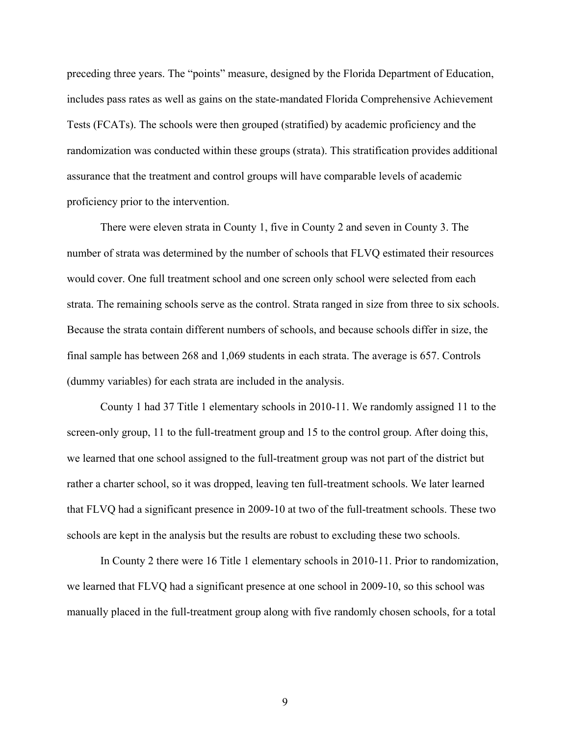preceding three years. The "points" measure, designed by the Florida Department of Education, includes pass rates as well as gains on the state-mandated Florida Comprehensive Achievement Tests (FCATs). The schools were then grouped (stratified) by academic proficiency and the randomization was conducted within these groups (strata). This stratification provides additional assurance that the treatment and control groups will have comparable levels of academic proficiency prior to the intervention.

There were eleven strata in County 1, five in County 2 and seven in County 3. The number of strata was determined by the number of schools that FLVQ estimated their resources would cover. One full treatment school and one screen only school were selected from each strata. The remaining schools serve as the control. Strata ranged in size from three to six schools. Because the strata contain different numbers of schools, and because schools differ in size, the final sample has between 268 and 1,069 students in each strata. The average is 657. Controls (dummy variables) for each strata are included in the analysis.

County 1 had 37 Title 1 elementary schools in 2010-11. We randomly assigned 11 to the screen-only group, 11 to the full-treatment group and 15 to the control group. After doing this, we learned that one school assigned to the full-treatment group was not part of the district but rather a charter school, so it was dropped, leaving ten full-treatment schools. We later learned that FLVQ had a significant presence in 2009-10 at two of the full-treatment schools. These two schools are kept in the analysis but the results are robust to excluding these two schools.

In County 2 there were 16 Title 1 elementary schools in 2010-11. Prior to randomization, we learned that FLVQ had a significant presence at one school in 2009-10, so this school was manually placed in the full-treatment group along with five randomly chosen schools, for a total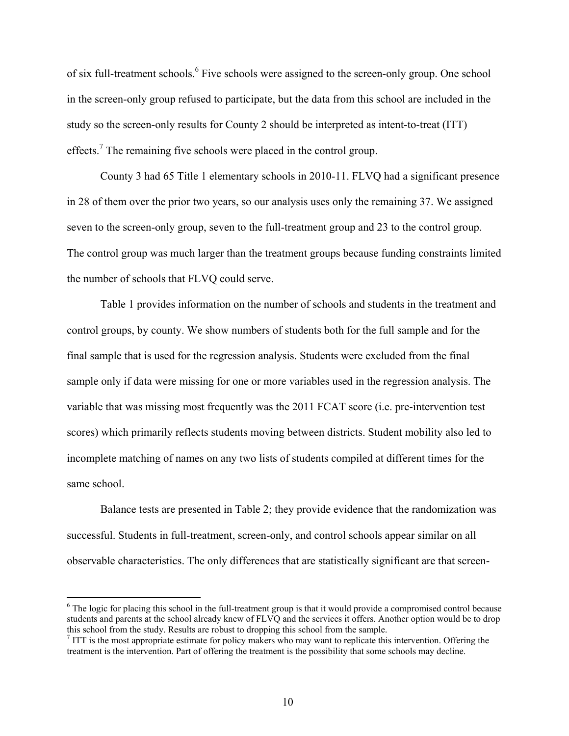of six full-treatment schools.<sup>6</sup> Five schools were assigned to the screen-only group. One school in the screen-only group refused to participate, but the data from this school are included in the study so the screen-only results for County 2 should be interpreted as intent-to-treat (ITT) effects.<sup>7</sup> The remaining five schools were placed in the control group.

County 3 had 65 Title 1 elementary schools in 2010-11. FLVQ had a significant presence in 28 of them over the prior two years, so our analysis uses only the remaining 37. We assigned seven to the screen-only group, seven to the full-treatment group and 23 to the control group. The control group was much larger than the treatment groups because funding constraints limited the number of schools that FLVQ could serve.

 Table 1 provides information on the number of schools and students in the treatment and control groups, by county. We show numbers of students both for the full sample and for the final sample that is used for the regression analysis. Students were excluded from the final sample only if data were missing for one or more variables used in the regression analysis. The variable that was missing most frequently was the 2011 FCAT score (i.e. pre-intervention test scores) which primarily reflects students moving between districts. Student mobility also led to incomplete matching of names on any two lists of students compiled at different times for the same school.

Balance tests are presented in Table 2; they provide evidence that the randomization was successful. Students in full-treatment, screen-only, and control schools appear similar on all observable characteristics. The only differences that are statistically significant are that screen-

<sup>&</sup>lt;sup>6</sup> The logic for placing this school in the full-treatment group is that it would provide a compromised control because students and parents at the school already knew of FLVQ and the services it offers. Another option would be to drop this school from the study. Results are robust to dropping this school from the sample. 7

ITT is the most appropriate estimate for policy makers who may want to replicate this intervention. Offering the treatment is the intervention. Part of offering the treatment is the possibility that some schools may decline.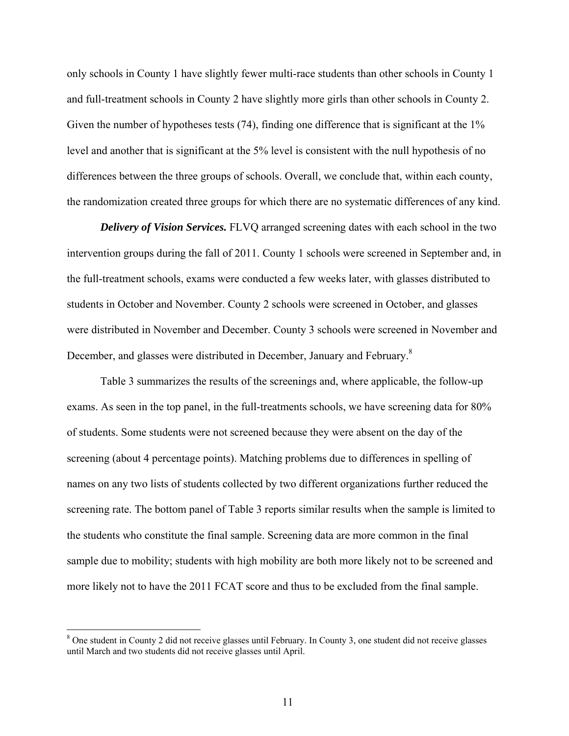only schools in County 1 have slightly fewer multi-race students than other schools in County 1 and full-treatment schools in County 2 have slightly more girls than other schools in County 2. Given the number of hypotheses tests (74), finding one difference that is significant at the 1% level and another that is significant at the 5% level is consistent with the null hypothesis of no differences between the three groups of schools. Overall, we conclude that, within each county, the randomization created three groups for which there are no systematic differences of any kind.

*Delivery of Vision Services.* FLVQ arranged screening dates with each school in the two intervention groups during the fall of 2011. County 1 schools were screened in September and, in the full-treatment schools, exams were conducted a few weeks later, with glasses distributed to students in October and November. County 2 schools were screened in October, and glasses were distributed in November and December. County 3 schools were screened in November and December, and glasses were distributed in December, January and February.<sup>8</sup>

Table 3 summarizes the results of the screenings and, where applicable, the follow-up exams. As seen in the top panel, in the full-treatments schools, we have screening data for 80% of students. Some students were not screened because they were absent on the day of the screening (about 4 percentage points). Matching problems due to differences in spelling of names on any two lists of students collected by two different organizations further reduced the screening rate. The bottom panel of Table 3 reports similar results when the sample is limited to the students who constitute the final sample. Screening data are more common in the final sample due to mobility; students with high mobility are both more likely not to be screened and more likely not to have the 2011 FCAT score and thus to be excluded from the final sample.

<sup>&</sup>lt;sup>8</sup> One student in County 2 did not receive glasses until February. In County 3, one student did not receive glasses until March and two students did not receive glasses until April.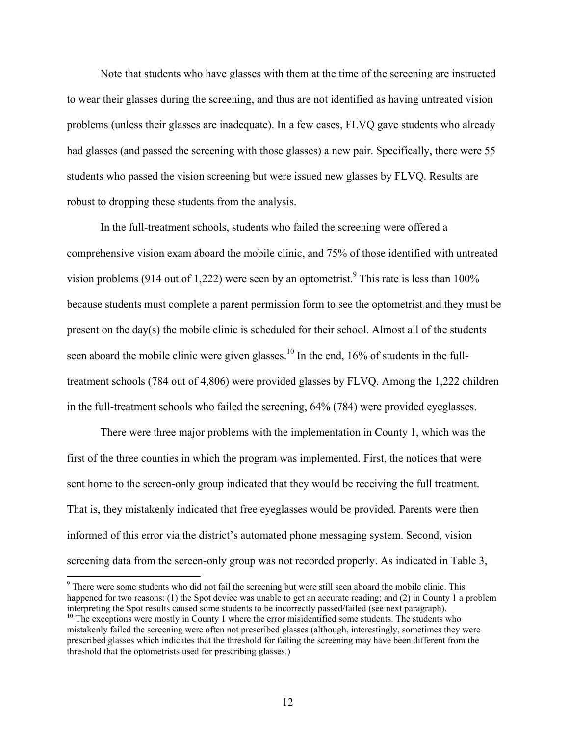Note that students who have glasses with them at the time of the screening are instructed to wear their glasses during the screening, and thus are not identified as having untreated vision problems (unless their glasses are inadequate). In a few cases, FLVQ gave students who already had glasses (and passed the screening with those glasses) a new pair. Specifically, there were 55 students who passed the vision screening but were issued new glasses by FLVQ. Results are robust to dropping these students from the analysis.

In the full-treatment schools, students who failed the screening were offered a comprehensive vision exam aboard the mobile clinic, and 75% of those identified with untreated vision problems (914 out of 1,222) were seen by an optometrist.<sup>9</sup> This rate is less than 100% because students must complete a parent permission form to see the optometrist and they must be present on the day(s) the mobile clinic is scheduled for their school. Almost all of the students seen aboard the mobile clinic were given glasses.<sup>10</sup> In the end, 16% of students in the fulltreatment schools (784 out of 4,806) were provided glasses by FLVQ. Among the 1,222 children in the full-treatment schools who failed the screening, 64% (784) were provided eyeglasses.

There were three major problems with the implementation in County 1, which was the first of the three counties in which the program was implemented. First, the notices that were sent home to the screen-only group indicated that they would be receiving the full treatment. That is, they mistakenly indicated that free eyeglasses would be provided. Parents were then informed of this error via the district's automated phone messaging system. Second, vision screening data from the screen-only group was not recorded properly. As indicated in Table 3,

<sup>&</sup>lt;sup>9</sup> There were some students who did not fail the screening but were still seen aboard the mobile clinic. This happened for two reasons: (1) the Spot device was unable to get an accurate reading; and (2) in County 1 a problem interpreting the Spot results caused some students to be incorrectly passed/failed (see next paragraph).

<sup>&</sup>lt;sup>10</sup> The exceptions were mostly in County 1 where the error misidentified some students. The students who mistakenly failed the screening were often not prescribed glasses (although, interestingly, sometimes they were prescribed glasses which indicates that the threshold for failing the screening may have been different from the threshold that the optometrists used for prescribing glasses.)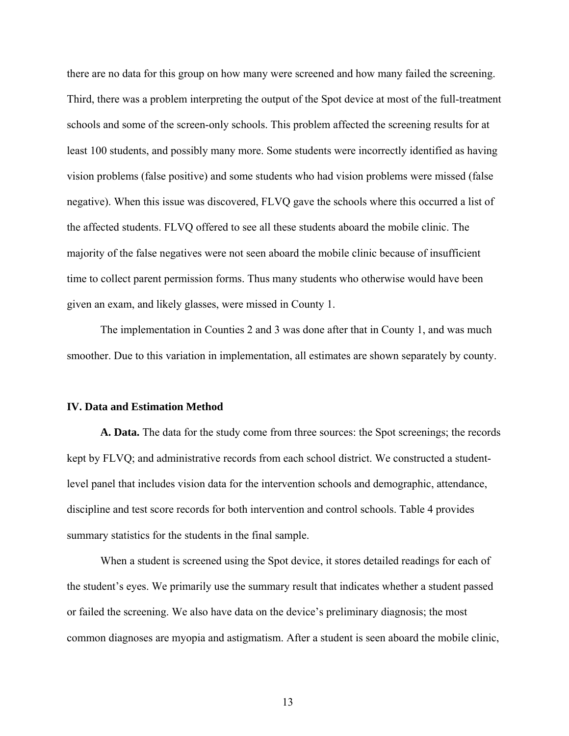there are no data for this group on how many were screened and how many failed the screening. Third, there was a problem interpreting the output of the Spot device at most of the full-treatment schools and some of the screen-only schools. This problem affected the screening results for at least 100 students, and possibly many more. Some students were incorrectly identified as having vision problems (false positive) and some students who had vision problems were missed (false negative). When this issue was discovered, FLVQ gave the schools where this occurred a list of the affected students. FLVQ offered to see all these students aboard the mobile clinic. The majority of the false negatives were not seen aboard the mobile clinic because of insufficient time to collect parent permission forms. Thus many students who otherwise would have been given an exam, and likely glasses, were missed in County 1.

The implementation in Counties 2 and 3 was done after that in County 1, and was much smoother. Due to this variation in implementation, all estimates are shown separately by county.

#### **IV. Data and Estimation Method**

**A. Data.** The data for the study come from three sources: the Spot screenings; the records kept by FLVQ; and administrative records from each school district. We constructed a studentlevel panel that includes vision data for the intervention schools and demographic, attendance, discipline and test score records for both intervention and control schools. Table 4 provides summary statistics for the students in the final sample.

When a student is screened using the Spot device, it stores detailed readings for each of the student's eyes. We primarily use the summary result that indicates whether a student passed or failed the screening. We also have data on the device's preliminary diagnosis; the most common diagnoses are myopia and astigmatism. After a student is seen aboard the mobile clinic,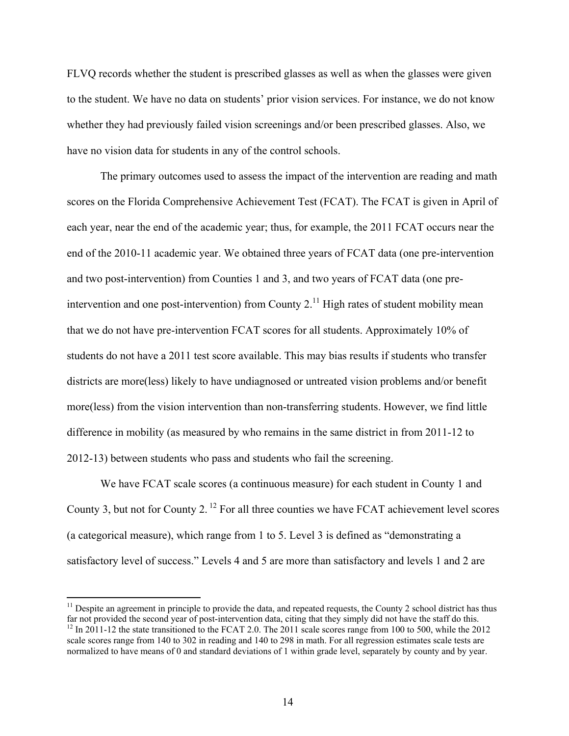FLVQ records whether the student is prescribed glasses as well as when the glasses were given to the student. We have no data on students' prior vision services. For instance, we do not know whether they had previously failed vision screenings and/or been prescribed glasses. Also, we have no vision data for students in any of the control schools.

The primary outcomes used to assess the impact of the intervention are reading and math scores on the Florida Comprehensive Achievement Test (FCAT). The FCAT is given in April of each year, near the end of the academic year; thus, for example, the 2011 FCAT occurs near the end of the 2010-11 academic year. We obtained three years of FCAT data (one pre-intervention and two post-intervention) from Counties 1 and 3, and two years of FCAT data (one preintervention and one post-intervention) from County  $2<sup>11</sup>$  High rates of student mobility mean that we do not have pre-intervention FCAT scores for all students. Approximately 10% of students do not have a 2011 test score available. This may bias results if students who transfer districts are more(less) likely to have undiagnosed or untreated vision problems and/or benefit more(less) from the vision intervention than non-transferring students. However, we find little difference in mobility (as measured by who remains in the same district in from 2011-12 to 2012-13) between students who pass and students who fail the screening.

We have FCAT scale scores (a continuous measure) for each student in County 1 and County 3, but not for County 2. 12 For all three counties we have FCAT achievement level scores (a categorical measure), which range from 1 to 5. Level 3 is defined as "demonstrating a satisfactory level of success." Levels 4 and 5 are more than satisfactory and levels 1 and 2 are

 $11$  Despite an agreement in principle to provide the data, and repeated requests, the County 2 school district has thus far not provided the second year of post-intervention data, citing that they simply did not have the staff do this.  $12$  In 2011-12 the state transitioned to the FCAT 2.0. The 2011 scale scores range from 100 to 500, while the 2012 scale scores range from 140 to 302 in reading and 140 to 298 in math. For all regression estimates scale tests are normalized to have means of 0 and standard deviations of 1 within grade level, separately by county and by year.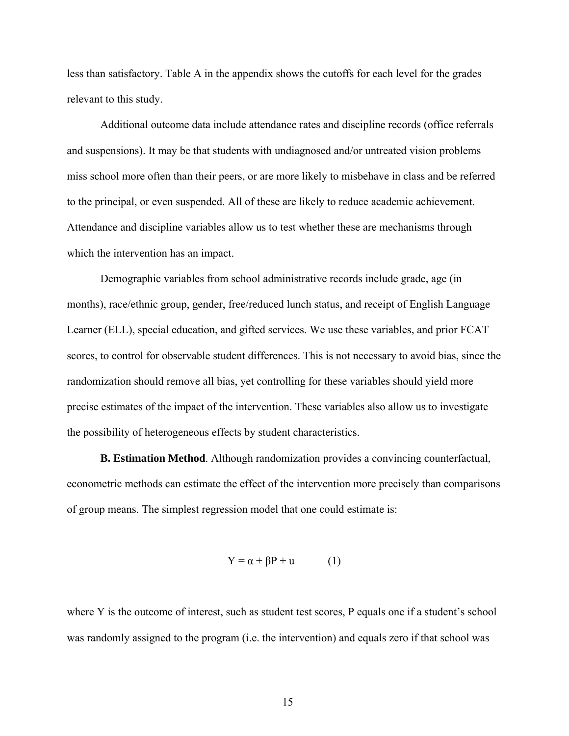less than satisfactory. Table A in the appendix shows the cutoffs for each level for the grades relevant to this study.

Additional outcome data include attendance rates and discipline records (office referrals and suspensions). It may be that students with undiagnosed and/or untreated vision problems miss school more often than their peers, or are more likely to misbehave in class and be referred to the principal, or even suspended. All of these are likely to reduce academic achievement. Attendance and discipline variables allow us to test whether these are mechanisms through which the intervention has an impact.

Demographic variables from school administrative records include grade, age (in months), race/ethnic group, gender, free/reduced lunch status, and receipt of English Language Learner (ELL), special education, and gifted services. We use these variables, and prior FCAT scores, to control for observable student differences. This is not necessary to avoid bias, since the randomization should remove all bias, yet controlling for these variables should yield more precise estimates of the impact of the intervention. These variables also allow us to investigate the possibility of heterogeneous effects by student characteristics.

**B. Estimation Method**. Although randomization provides a convincing counterfactual, econometric methods can estimate the effect of the intervention more precisely than comparisons of group means. The simplest regression model that one could estimate is:

$$
Y = \alpha + \beta P + u \tag{1}
$$

where Y is the outcome of interest, such as student test scores, P equals one if a student's school was randomly assigned to the program (i.e. the intervention) and equals zero if that school was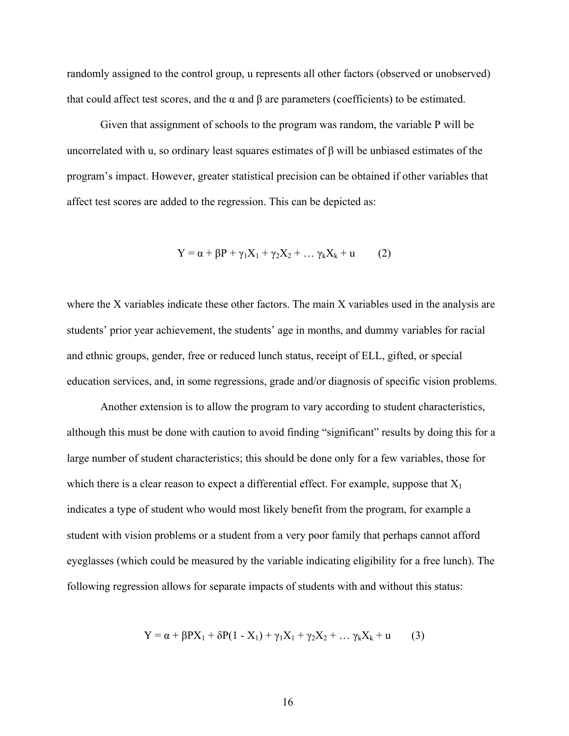randomly assigned to the control group, u represents all other factors (observed or unobserved) that could affect test scores, and the α and β are parameters (coefficients) to be estimated.

Given that assignment of schools to the program was random, the variable P will be uncorrelated with u, so ordinary least squares estimates of β will be unbiased estimates of the program's impact. However, greater statistical precision can be obtained if other variables that affect test scores are added to the regression. This can be depicted as:

$$
Y = \alpha + \beta P + \gamma_1 X_1 + \gamma_2 X_2 + \dots \gamma_k X_k + u \qquad (2)
$$

where the X variables indicate these other factors. The main X variables used in the analysis are students' prior year achievement, the students' age in months, and dummy variables for racial and ethnic groups, gender, free or reduced lunch status, receipt of ELL, gifted, or special education services, and, in some regressions, grade and/or diagnosis of specific vision problems.

 Another extension is to allow the program to vary according to student characteristics, although this must be done with caution to avoid finding "significant" results by doing this for a large number of student characteristics; this should be done only for a few variables, those for which there is a clear reason to expect a differential effect. For example, suppose that  $X_1$ indicates a type of student who would most likely benefit from the program, for example a student with vision problems or a student from a very poor family that perhaps cannot afford eyeglasses (which could be measured by the variable indicating eligibility for a free lunch). The following regression allows for separate impacts of students with and without this status:

$$
Y = \alpha + \beta PX_1 + \delta P(1 - X_1) + \gamma_1 X_1 + \gamma_2 X_2 + \dots \gamma_k X_k + u
$$
 (3)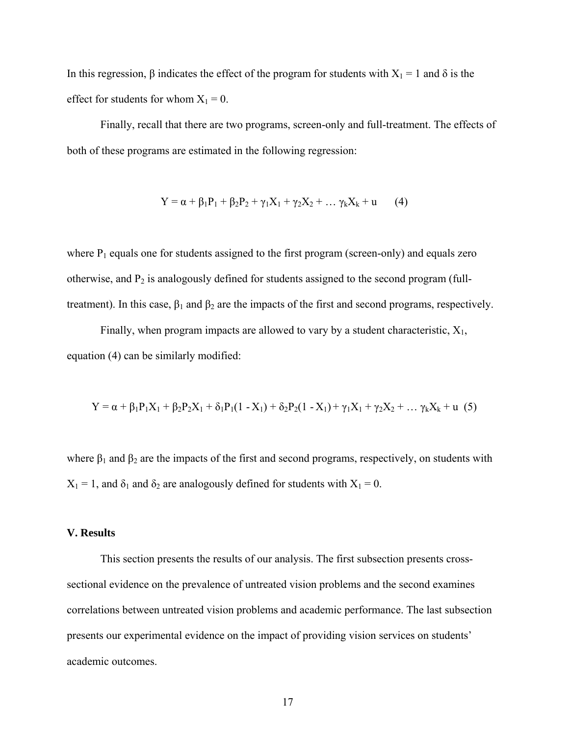In this regression,  $\beta$  indicates the effect of the program for students with  $X_1 = 1$  and  $\delta$  is the effect for students for whom  $X_1 = 0$ .

 Finally, recall that there are two programs, screen-only and full-treatment. The effects of both of these programs are estimated in the following regression:

$$
Y = \alpha + \beta_1 P_1 + \beta_2 P_2 + \gamma_1 X_1 + \gamma_2 X_2 + \dots \gamma_k X_k + u \qquad (4)
$$

where  $P_1$  equals one for students assigned to the first program (screen-only) and equals zero otherwise, and  $P_2$  is analogously defined for students assigned to the second program (fulltreatment). In this case,  $\beta_1$  and  $\beta_2$  are the impacts of the first and second programs, respectively.

Finally, when program impacts are allowed to vary by a student characteristic,  $X_1$ , equation (4) can be similarly modified:

$$
Y = \alpha + \beta_1 P_1 X_1 + \beta_2 P_2 X_1 + \delta_1 P_1 (1 - X_1) + \delta_2 P_2 (1 - X_1) + \gamma_1 X_1 + \gamma_2 X_2 + \dots \gamma_k X_k + u
$$
 (5)

where  $\beta_1$  and  $\beta_2$  are the impacts of the first and second programs, respectively, on students with  $X_1 = 1$ , and  $\delta_1$  and  $\delta_2$  are analogously defined for students with  $X_1 = 0$ .

### **V. Results**

 This section presents the results of our analysis. The first subsection presents crosssectional evidence on the prevalence of untreated vision problems and the second examines correlations between untreated vision problems and academic performance. The last subsection presents our experimental evidence on the impact of providing vision services on students' academic outcomes.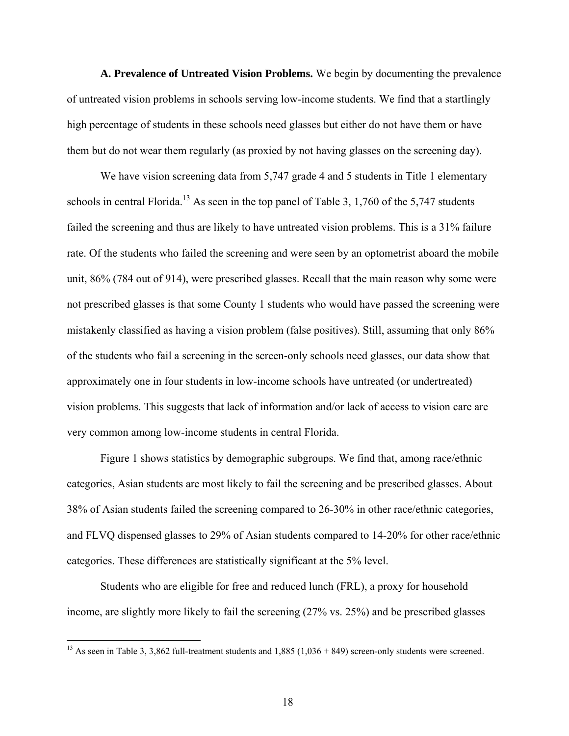**A. Prevalence of Untreated Vision Problems.** We begin by documenting the prevalence of untreated vision problems in schools serving low-income students. We find that a startlingly high percentage of students in these schools need glasses but either do not have them or have them but do not wear them regularly (as proxied by not having glasses on the screening day).

We have vision screening data from 5,747 grade 4 and 5 students in Title 1 elementary schools in central Florida.<sup>13</sup> As seen in the top panel of Table 3, 1,760 of the 5,747 students failed the screening and thus are likely to have untreated vision problems. This is a 31% failure rate. Of the students who failed the screening and were seen by an optometrist aboard the mobile unit, 86% (784 out of 914), were prescribed glasses. Recall that the main reason why some were not prescribed glasses is that some County 1 students who would have passed the screening were mistakenly classified as having a vision problem (false positives). Still, assuming that only 86% of the students who fail a screening in the screen-only schools need glasses, our data show that approximately one in four students in low-income schools have untreated (or undertreated) vision problems. This suggests that lack of information and/or lack of access to vision care are very common among low-income students in central Florida.

 Figure 1 shows statistics by demographic subgroups. We find that, among race/ethnic categories, Asian students are most likely to fail the screening and be prescribed glasses. About 38% of Asian students failed the screening compared to 26-30% in other race/ethnic categories, and FLVQ dispensed glasses to 29% of Asian students compared to 14-20% for other race/ethnic categories. These differences are statistically significant at the 5% level.

Students who are eligible for free and reduced lunch (FRL), a proxy for household income, are slightly more likely to fail the screening (27% vs. 25%) and be prescribed glasses

<sup>&</sup>lt;sup>13</sup> As seen in Table 3, 3,862 full-treatment students and  $1,885$  ( $1,036 + 849$ ) screen-only students were screened.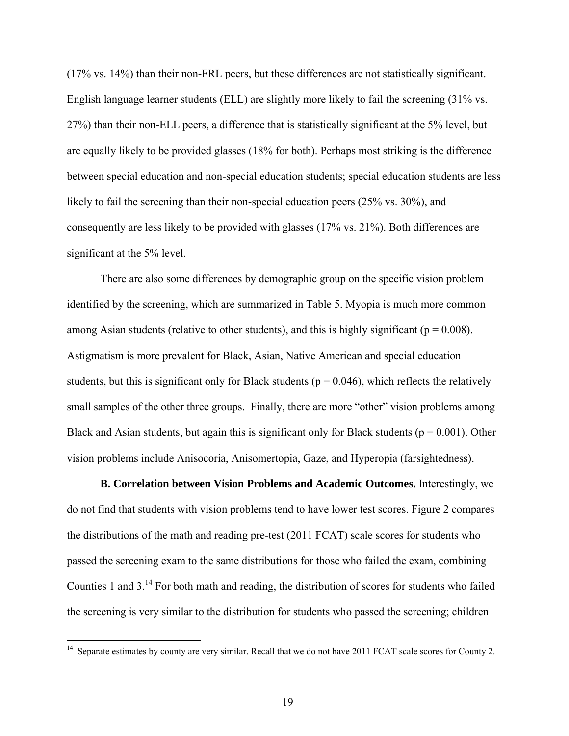(17% vs. 14%) than their non-FRL peers, but these differences are not statistically significant. English language learner students (ELL) are slightly more likely to fail the screening (31% vs. 27%) than their non-ELL peers, a difference that is statistically significant at the 5% level, but are equally likely to be provided glasses (18% for both). Perhaps most striking is the difference between special education and non-special education students; special education students are less likely to fail the screening than their non-special education peers (25% vs. 30%), and consequently are less likely to be provided with glasses (17% vs. 21%). Both differences are significant at the 5% level.

 There are also some differences by demographic group on the specific vision problem identified by the screening, which are summarized in Table 5. Myopia is much more common among Asian students (relative to other students), and this is highly significant ( $p = 0.008$ ). Astigmatism is more prevalent for Black, Asian, Native American and special education students, but this is significant only for Black students ( $p = 0.046$ ), which reflects the relatively small samples of the other three groups. Finally, there are more "other" vision problems among Black and Asian students, but again this is significant only for Black students ( $p = 0.001$ ). Other vision problems include Anisocoria, Anisomertopia, Gaze, and Hyperopia (farsightedness).

**B. Correlation between Vision Problems and Academic Outcomes.** Interestingly, we do not find that students with vision problems tend to have lower test scores. Figure 2 compares the distributions of the math and reading pre-test (2011 FCAT) scale scores for students who passed the screening exam to the same distributions for those who failed the exam, combining Counties 1 and 3.14 For both math and reading, the distribution of scores for students who failed the screening is very similar to the distribution for students who passed the screening; children

 $14$  Separate estimates by county are very similar. Recall that we do not have 2011 FCAT scale scores for County 2.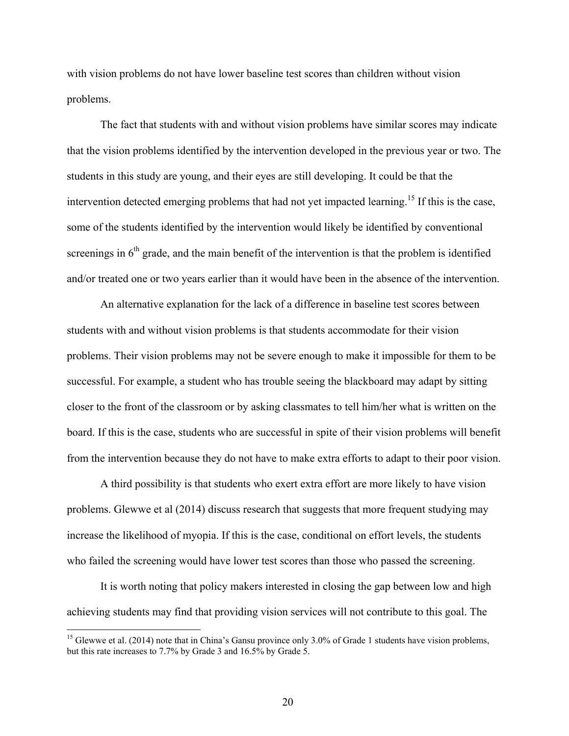with vision problems do not have lower baseline test scores than children without vision problems.

The fact that students with and without vision problems have similar scores may indicate that the vision problems identified by the intervention developed in the previous year or two. The students in this study are young, and their eyes are still developing. It could be that the intervention detected emerging problems that had not yet impacted learning.<sup>15</sup> If this is the case, some of the students identified by the intervention would likely be identified by conventional screenings in  $6<sup>th</sup>$  grade, and the main benefit of the intervention is that the problem is identified and/or treated one or two years earlier than it would have been in the absence of the intervention.

An alternative explanation for the lack of a difference in baseline test scores between students with and without vision problems is that students accommodate for their vision problems. Their vision problems may not be severe enough to make it impossible for them to be successful. For example, a student who has trouble seeing the blackboard may adapt by sitting closer to the front of the classroom or by asking classmates to tell him/her what is written on the board. If this is the case, students who are successful in spite of their vision problems will benefit from the intervention because they do not have to make extra efforts to adapt to their poor vision.

A third possibility is that students who exert extra effort are more likely to have vision problems. Glewwe et al (2014) discuss research that suggests that more frequent studying may increase the likelihood of myopia. If this is the case, conditional on effort levels, the students who failed the screening would have lower test scores than those who passed the screening.

It is worth noting that policy makers interested in closing the gap between low and high achieving students may find that providing vision services will not contribute to this goal. The

<sup>&</sup>lt;sup>15</sup> Glewwe et al. (2014) note that in China's Gansu province only 3.0% of Grade 1 students have vision problems, but this rate increases to 7.7% by Grade 3 and 16.5% by Grade 5.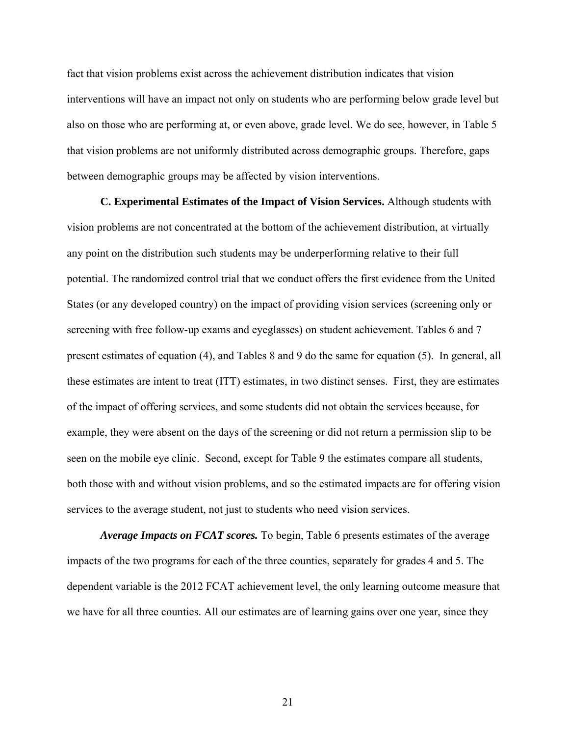fact that vision problems exist across the achievement distribution indicates that vision interventions will have an impact not only on students who are performing below grade level but also on those who are performing at, or even above, grade level. We do see, however, in Table 5 that vision problems are not uniformly distributed across demographic groups. Therefore, gaps between demographic groups may be affected by vision interventions.

**C. Experimental Estimates of the Impact of Vision Services.** Although students with vision problems are not concentrated at the bottom of the achievement distribution, at virtually any point on the distribution such students may be underperforming relative to their full potential. The randomized control trial that we conduct offers the first evidence from the United States (or any developed country) on the impact of providing vision services (screening only or screening with free follow-up exams and eyeglasses) on student achievement. Tables 6 and 7 present estimates of equation (4), and Tables 8 and 9 do the same for equation (5). In general, all these estimates are intent to treat (ITT) estimates, in two distinct senses. First, they are estimates of the impact of offering services, and some students did not obtain the services because, for example, they were absent on the days of the screening or did not return a permission slip to be seen on the mobile eye clinic. Second, except for Table 9 the estimates compare all students, both those with and without vision problems, and so the estimated impacts are for offering vision services to the average student, not just to students who need vision services.

*Average Impacts on FCAT scores.* To begin, Table 6 presents estimates of the average impacts of the two programs for each of the three counties, separately for grades 4 and 5. The dependent variable is the 2012 FCAT achievement level, the only learning outcome measure that we have for all three counties. All our estimates are of learning gains over one year, since they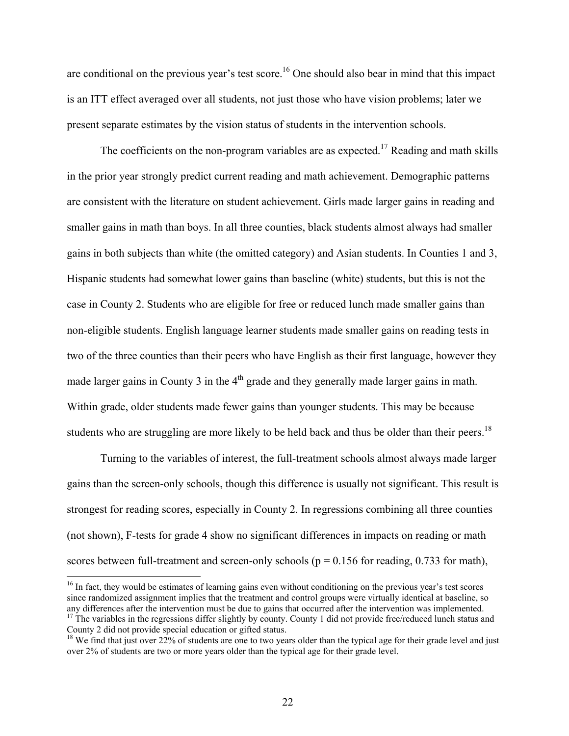are conditional on the previous year's test score.<sup>16</sup> One should also bear in mind that this impact is an ITT effect averaged over all students, not just those who have vision problems; later we present separate estimates by the vision status of students in the intervention schools.

The coefficients on the non-program variables are as expected.<sup>17</sup> Reading and math skills in the prior year strongly predict current reading and math achievement. Demographic patterns are consistent with the literature on student achievement. Girls made larger gains in reading and smaller gains in math than boys. In all three counties, black students almost always had smaller gains in both subjects than white (the omitted category) and Asian students. In Counties 1 and 3, Hispanic students had somewhat lower gains than baseline (white) students, but this is not the case in County 2. Students who are eligible for free or reduced lunch made smaller gains than non-eligible students. English language learner students made smaller gains on reading tests in two of the three counties than their peers who have English as their first language, however they made larger gains in County 3 in the  $4<sup>th</sup>$  grade and they generally made larger gains in math. Within grade, older students made fewer gains than younger students. This may be because students who are struggling are more likely to be held back and thus be older than their peers.<sup>18</sup>

Turning to the variables of interest, the full-treatment schools almost always made larger gains than the screen-only schools, though this difference is usually not significant. This result is strongest for reading scores, especially in County 2. In regressions combining all three counties (not shown), F-tests for grade 4 show no significant differences in impacts on reading or math scores between full-treatment and screen-only schools ( $p = 0.156$  for reading, 0.733 for math),

<sup>&</sup>lt;sup>16</sup> In fact, they would be estimates of learning gains even without conditioning on the previous year's test scores since randomized assignment implies that the treatment and control groups were virtually identical at baseline, so any differences after the intervention must be due to gains that occurred after the intervention was implem  $17$  The variables in the regressions differ slightly by county. County 1 did not provide free/reduced lunch status and

County 2 did not provide special education or gifted status.

 $18$  We find that just over 22% of students are one to two years older than the typical age for their grade level and just over 2% of students are two or more years older than the typical age for their grade level.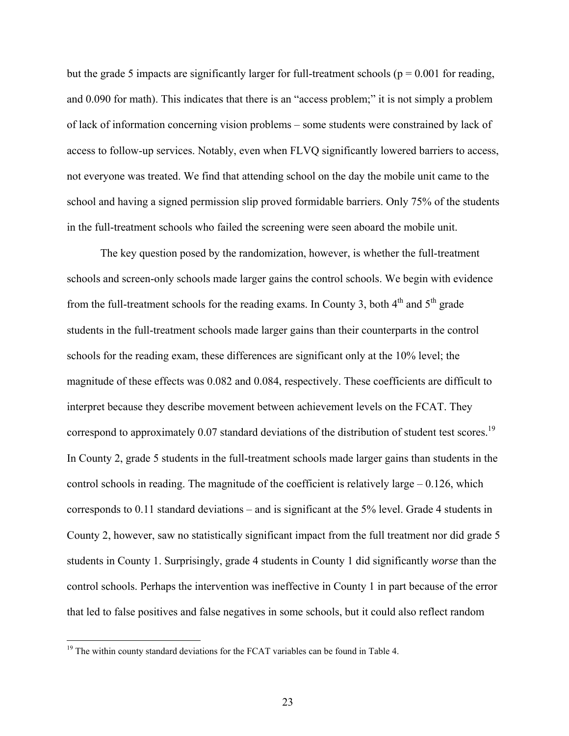but the grade 5 impacts are significantly larger for full-treatment schools ( $p = 0.001$  for reading, and 0.090 for math). This indicates that there is an "access problem;" it is not simply a problem of lack of information concerning vision problems – some students were constrained by lack of access to follow-up services. Notably, even when FLVQ significantly lowered barriers to access, not everyone was treated. We find that attending school on the day the mobile unit came to the school and having a signed permission slip proved formidable barriers. Only 75% of the students in the full-treatment schools who failed the screening were seen aboard the mobile unit.

The key question posed by the randomization, however, is whether the full-treatment schools and screen-only schools made larger gains the control schools. We begin with evidence from the full-treatment schools for the reading exams. In County 3, both  $4<sup>th</sup>$  and  $5<sup>th</sup>$  grade students in the full-treatment schools made larger gains than their counterparts in the control schools for the reading exam, these differences are significant only at the 10% level; the magnitude of these effects was 0.082 and 0.084, respectively. These coefficients are difficult to interpret because they describe movement between achievement levels on the FCAT. They correspond to approximately 0.07 standard deviations of the distribution of student test scores.<sup>19</sup> In County 2, grade 5 students in the full-treatment schools made larger gains than students in the control schools in reading. The magnitude of the coefficient is relatively large – 0.126, which corresponds to 0.11 standard deviations – and is significant at the 5% level. Grade 4 students in County 2, however, saw no statistically significant impact from the full treatment nor did grade 5 students in County 1. Surprisingly, grade 4 students in County 1 did significantly *worse* than the control schools. Perhaps the intervention was ineffective in County 1 in part because of the error that led to false positives and false negatives in some schools, but it could also reflect random

 $19$  The within county standard deviations for the FCAT variables can be found in Table 4.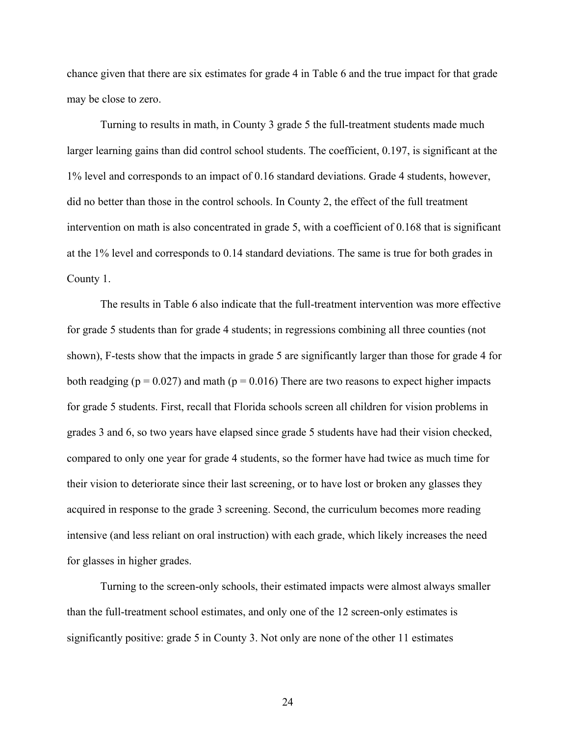chance given that there are six estimates for grade 4 in Table 6 and the true impact for that grade may be close to zero.

Turning to results in math, in County 3 grade 5 the full-treatment students made much larger learning gains than did control school students. The coefficient, 0.197, is significant at the 1% level and corresponds to an impact of 0.16 standard deviations. Grade 4 students, however, did no better than those in the control schools. In County 2, the effect of the full treatment intervention on math is also concentrated in grade 5, with a coefficient of 0.168 that is significant at the 1% level and corresponds to 0.14 standard deviations. The same is true for both grades in County 1.

The results in Table 6 also indicate that the full-treatment intervention was more effective for grade 5 students than for grade 4 students; in regressions combining all three counties (not shown), F-tests show that the impacts in grade 5 are significantly larger than those for grade 4 for both readging ( $p = 0.027$ ) and math ( $p = 0.016$ ) There are two reasons to expect higher impacts for grade 5 students. First, recall that Florida schools screen all children for vision problems in grades 3 and 6, so two years have elapsed since grade 5 students have had their vision checked, compared to only one year for grade 4 students, so the former have had twice as much time for their vision to deteriorate since their last screening, or to have lost or broken any glasses they acquired in response to the grade 3 screening. Second, the curriculum becomes more reading intensive (and less reliant on oral instruction) with each grade, which likely increases the need for glasses in higher grades.

 Turning to the screen-only schools, their estimated impacts were almost always smaller than the full-treatment school estimates, and only one of the 12 screen-only estimates is significantly positive: grade 5 in County 3. Not only are none of the other 11 estimates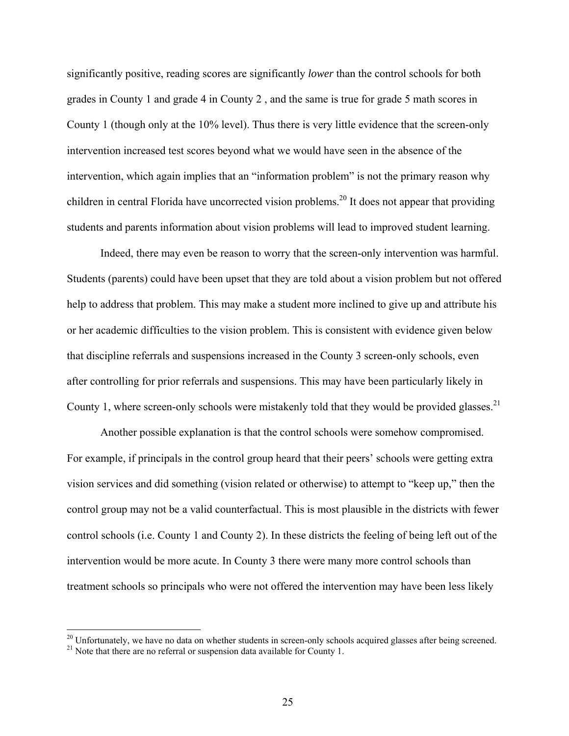significantly positive, reading scores are significantly *lower* than the control schools for both grades in County 1 and grade 4 in County 2 , and the same is true for grade 5 math scores in County 1 (though only at the 10% level). Thus there is very little evidence that the screen-only intervention increased test scores beyond what we would have seen in the absence of the intervention, which again implies that an "information problem" is not the primary reason why children in central Florida have uncorrected vision problems.20 It does not appear that providing students and parents information about vision problems will lead to improved student learning.

Indeed, there may even be reason to worry that the screen-only intervention was harmful. Students (parents) could have been upset that they are told about a vision problem but not offered help to address that problem. This may make a student more inclined to give up and attribute his or her academic difficulties to the vision problem. This is consistent with evidence given below that discipline referrals and suspensions increased in the County 3 screen-only schools, even after controlling for prior referrals and suspensions. This may have been particularly likely in County 1, where screen-only schools were mistakenly told that they would be provided glasses.<sup>21</sup>

Another possible explanation is that the control schools were somehow compromised. For example, if principals in the control group heard that their peers' schools were getting extra vision services and did something (vision related or otherwise) to attempt to "keep up," then the control group may not be a valid counterfactual. This is most plausible in the districts with fewer control schools (i.e. County 1 and County 2). In these districts the feeling of being left out of the intervention would be more acute. In County 3 there were many more control schools than treatment schools so principals who were not offered the intervention may have been less likely

<sup>&</sup>lt;sup>20</sup> Unfortunately, we have no data on whether students in screen-only schools acquired glasses after being screened.

<sup>&</sup>lt;sup>21</sup> Note that there are no referral or suspension data available for County 1.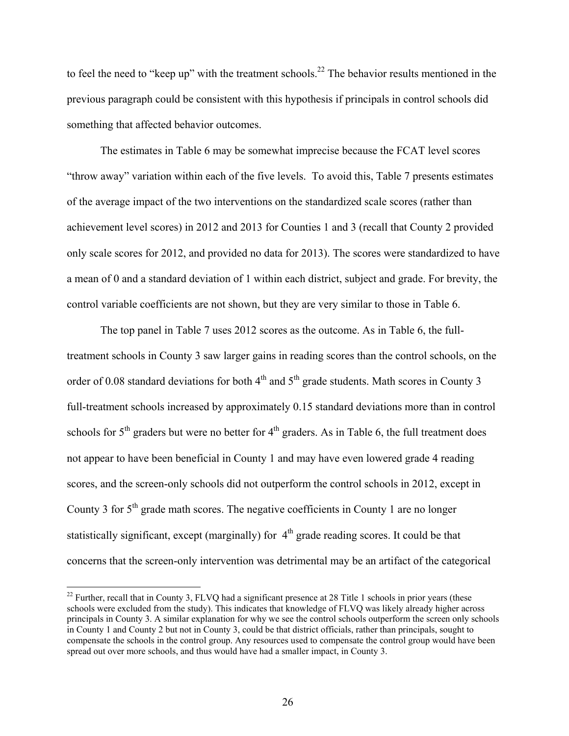to feel the need to "keep up" with the treatment schools.<sup>22</sup> The behavior results mentioned in the previous paragraph could be consistent with this hypothesis if principals in control schools did something that affected behavior outcomes.

The estimates in Table 6 may be somewhat imprecise because the FCAT level scores "throw away" variation within each of the five levels. To avoid this, Table 7 presents estimates of the average impact of the two interventions on the standardized scale scores (rather than achievement level scores) in 2012 and 2013 for Counties 1 and 3 (recall that County 2 provided only scale scores for 2012, and provided no data for 2013). The scores were standardized to have a mean of 0 and a standard deviation of 1 within each district, subject and grade. For brevity, the control variable coefficients are not shown, but they are very similar to those in Table 6.

The top panel in Table 7 uses 2012 scores as the outcome. As in Table 6, the fulltreatment schools in County 3 saw larger gains in reading scores than the control schools, on the order of 0.08 standard deviations for both  $4<sup>th</sup>$  and  $5<sup>th</sup>$  grade students. Math scores in County 3 full-treatment schools increased by approximately 0.15 standard deviations more than in control schools for  $5<sup>th</sup>$  graders but were no better for  $4<sup>th</sup>$  graders. As in Table 6, the full treatment does not appear to have been beneficial in County 1 and may have even lowered grade 4 reading scores, and the screen-only schools did not outperform the control schools in 2012, except in County 3 for  $5<sup>th</sup>$  grade math scores. The negative coefficients in County 1 are no longer statistically significant, except (marginally) for  $4<sup>th</sup>$  grade reading scores. It could be that concerns that the screen-only intervention was detrimental may be an artifact of the categorical

<sup>&</sup>lt;sup>22</sup> Further, recall that in County 3, FLVQ had a significant presence at 28 Title 1 schools in prior years (these schools were excluded from the study). This indicates that knowledge of FLVQ was likely already higher across principals in County 3. A similar explanation for why we see the control schools outperform the screen only schools in County 1 and County 2 but not in County 3, could be that district officials, rather than principals, sought to compensate the schools in the control group. Any resources used to compensate the control group would have been spread out over more schools, and thus would have had a smaller impact, in County 3.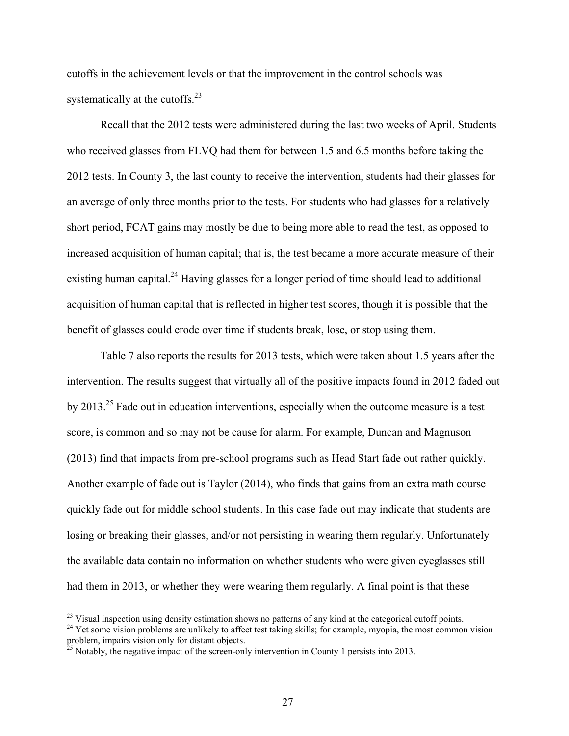cutoffs in the achievement levels or that the improvement in the control schools was systematically at the cutoffs.<sup>23</sup>

 Recall that the 2012 tests were administered during the last two weeks of April. Students who received glasses from FLVQ had them for between 1.5 and 6.5 months before taking the 2012 tests. In County 3, the last county to receive the intervention, students had their glasses for an average of only three months prior to the tests. For students who had glasses for a relatively short period, FCAT gains may mostly be due to being more able to read the test, as opposed to increased acquisition of human capital; that is, the test became a more accurate measure of their existing human capital.<sup>24</sup> Having glasses for a longer period of time should lead to additional acquisition of human capital that is reflected in higher test scores, though it is possible that the benefit of glasses could erode over time if students break, lose, or stop using them.

Table 7 also reports the results for 2013 tests, which were taken about 1.5 years after the intervention. The results suggest that virtually all of the positive impacts found in 2012 faded out by 2013.<sup>25</sup> Fade out in education interventions, especially when the outcome measure is a test score, is common and so may not be cause for alarm. For example, Duncan and Magnuson (2013) find that impacts from pre-school programs such as Head Start fade out rather quickly. Another example of fade out is Taylor (2014), who finds that gains from an extra math course quickly fade out for middle school students. In this case fade out may indicate that students are losing or breaking their glasses, and/or not persisting in wearing them regularly. Unfortunately the available data contain no information on whether students who were given eyeglasses still had them in 2013, or whether they were wearing them regularly. A final point is that these

<sup>&</sup>lt;sup>23</sup> Visual inspection using density estimation shows no patterns of any kind at the categorical cutoff points.

<sup>&</sup>lt;sup>24</sup> Yet some vision problems are unlikely to affect test taking skills; for example, myopia, the most common vision problem, impairs vision only for distant objects.

 $^{25}$  Notably, the negative impact of the screen-only intervention in County 1 persists into 2013.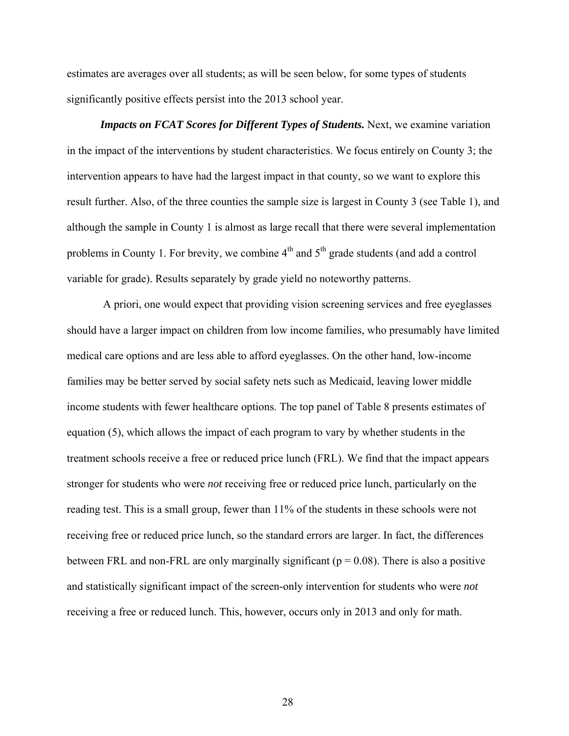estimates are averages over all students; as will be seen below, for some types of students significantly positive effects persist into the 2013 school year.

*Impacts on FCAT Scores for Different Types of Students.* Next, we examine variation in the impact of the interventions by student characteristics. We focus entirely on County 3; the intervention appears to have had the largest impact in that county, so we want to explore this result further. Also, of the three counties the sample size is largest in County 3 (see Table 1), and although the sample in County 1 is almost as large recall that there were several implementation problems in County 1. For brevity, we combine  $4<sup>th</sup>$  and  $5<sup>th</sup>$  grade students (and add a control variable for grade). Results separately by grade yield no noteworthy patterns.

 A priori, one would expect that providing vision screening services and free eyeglasses should have a larger impact on children from low income families, who presumably have limited medical care options and are less able to afford eyeglasses. On the other hand, low-income families may be better served by social safety nets such as Medicaid, leaving lower middle income students with fewer healthcare options. The top panel of Table 8 presents estimates of equation (5), which allows the impact of each program to vary by whether students in the treatment schools receive a free or reduced price lunch (FRL). We find that the impact appears stronger for students who were *not* receiving free or reduced price lunch, particularly on the reading test. This is a small group, fewer than 11% of the students in these schools were not receiving free or reduced price lunch, so the standard errors are larger. In fact, the differences between FRL and non-FRL are only marginally significant ( $p = 0.08$ ). There is also a positive and statistically significant impact of the screen-only intervention for students who were *not* receiving a free or reduced lunch. This, however, occurs only in 2013 and only for math.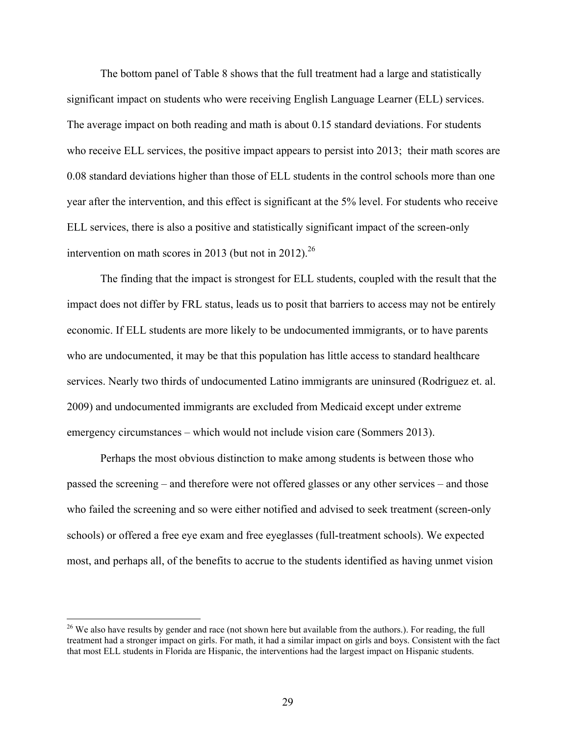The bottom panel of Table 8 shows that the full treatment had a large and statistically significant impact on students who were receiving English Language Learner (ELL) services. The average impact on both reading and math is about 0.15 standard deviations. For students who receive ELL services, the positive impact appears to persist into 2013; their math scores are 0.08 standard deviations higher than those of ELL students in the control schools more than one year after the intervention, and this effect is significant at the 5% level. For students who receive ELL services, there is also a positive and statistically significant impact of the screen-only intervention on math scores in 2013 (but not in 2012).<sup>26</sup>

The finding that the impact is strongest for ELL students, coupled with the result that the impact does not differ by FRL status, leads us to posit that barriers to access may not be entirely economic. If ELL students are more likely to be undocumented immigrants, or to have parents who are undocumented, it may be that this population has little access to standard healthcare services. Nearly two thirds of undocumented Latino immigrants are uninsured (Rodriguez et. al. 2009) and undocumented immigrants are excluded from Medicaid except under extreme emergency circumstances – which would not include vision care (Sommers 2013).

Perhaps the most obvious distinction to make among students is between those who passed the screening – and therefore were not offered glasses or any other services – and those who failed the screening and so were either notified and advised to seek treatment (screen-only schools) or offered a free eye exam and free eyeglasses (full-treatment schools). We expected most, and perhaps all, of the benefits to accrue to the students identified as having unmet vision

<u>.</u>

<sup>&</sup>lt;sup>26</sup> We also have results by gender and race (not shown here but available from the authors.). For reading, the full treatment had a stronger impact on girls. For math, it had a similar impact on girls and boys. Consistent with the fact that most ELL students in Florida are Hispanic, the interventions had the largest impact on Hispanic students.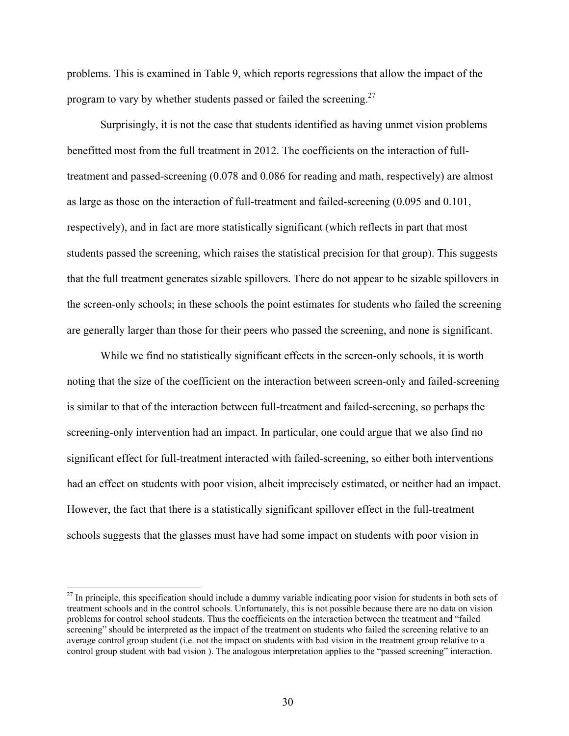problems. This is examined in Table 9, which reports regressions that allow the impact of the program to vary by whether students passed or failed the screening.<sup>27</sup>

Surprisingly, it is not the case that students identified as having unmet vision problems benefitted most from the full treatment in 2012. The coefficients on the interaction of fulltreatment and passed-screening (0.078 and 0.086 for reading and math, respectively) are almost as large as those on the interaction of full-treatment and failed-screening (0.095 and 0.101, respectively), and in fact are more statistically significant (which reflects in part that most students passed the screening, which raises the statistical precision for that group). This suggests that the full treatment generates sizable spillovers. There do not appear to be sizable spillovers in the screen-only schools; in these schools the point estimates for students who failed the screening are generally larger than those for their peers who passed the screening, and none is significant.

While we find no statistically significant effects in the screen-only schools, it is worth noting that the size of the coefficient on the interaction between screen-only and failed-screening is similar to that of the interaction between full-treatment and failed-screening, so perhaps the screening-only intervention had an impact. In particular, one could argue that we also find no significant effect for full-treatment interacted with failed-screening, so either both interventions had an effect on students with poor vision, albeit imprecisely estimated, or neither had an impact. However, the fact that there is a statistically significant spillover effect in the full-treatment schools suggests that the glasses must have had some impact on students with poor vision in

<sup>&</sup>lt;sup>27</sup> In principle, this specification should include a dummy variable indicating poor vision for students in both sets of treatment schools and in the control schools. Unfortunately, this is not possible because there are no data on vision problems for control school students. Thus the coefficients on the interaction between the treatment and "failed screening" should be interpreted as the impact of the treatment on students who failed the screening relative to an average control group student (i.e. not the impact on students with bad vision in the treatment group relative to a control group student with bad vision ). The analogous interpretation applies to the "passed screening" interaction.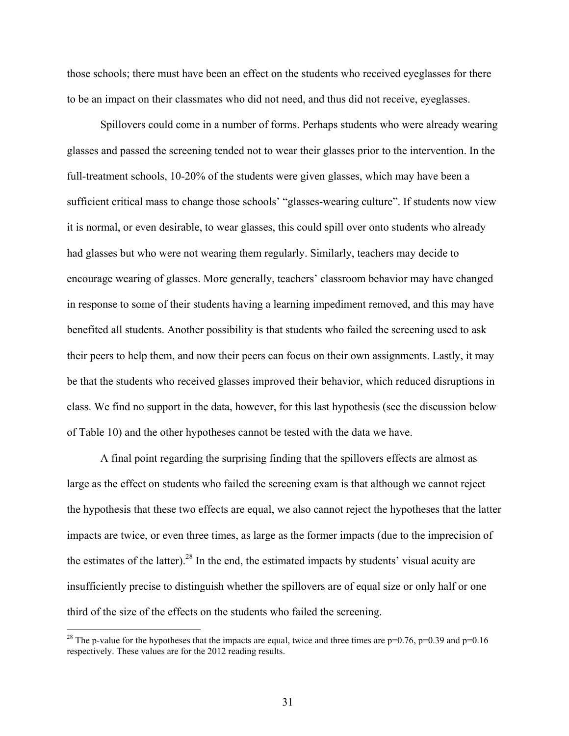those schools; there must have been an effect on the students who received eyeglasses for there to be an impact on their classmates who did not need, and thus did not receive, eyeglasses.

Spillovers could come in a number of forms. Perhaps students who were already wearing glasses and passed the screening tended not to wear their glasses prior to the intervention. In the full-treatment schools, 10-20% of the students were given glasses, which may have been a sufficient critical mass to change those schools' "glasses-wearing culture". If students now view it is normal, or even desirable, to wear glasses, this could spill over onto students who already had glasses but who were not wearing them regularly. Similarly, teachers may decide to encourage wearing of glasses. More generally, teachers' classroom behavior may have changed in response to some of their students having a learning impediment removed, and this may have benefited all students. Another possibility is that students who failed the screening used to ask their peers to help them, and now their peers can focus on their own assignments. Lastly, it may be that the students who received glasses improved their behavior, which reduced disruptions in class. We find no support in the data, however, for this last hypothesis (see the discussion below of Table 10) and the other hypotheses cannot be tested with the data we have.

A final point regarding the surprising finding that the spillovers effects are almost as large as the effect on students who failed the screening exam is that although we cannot reject the hypothesis that these two effects are equal, we also cannot reject the hypotheses that the latter impacts are twice, or even three times, as large as the former impacts (due to the imprecision of the estimates of the latter).<sup>28</sup> In the end, the estimated impacts by students' visual acuity are insufficiently precise to distinguish whether the spillovers are of equal size or only half or one third of the size of the effects on the students who failed the screening.

<sup>&</sup>lt;sup>28</sup> The p-value for the hypotheses that the impacts are equal, twice and three times are  $p=0.76$ ,  $p=0.39$  and  $p=0.16$ respectively. These values are for the 2012 reading results.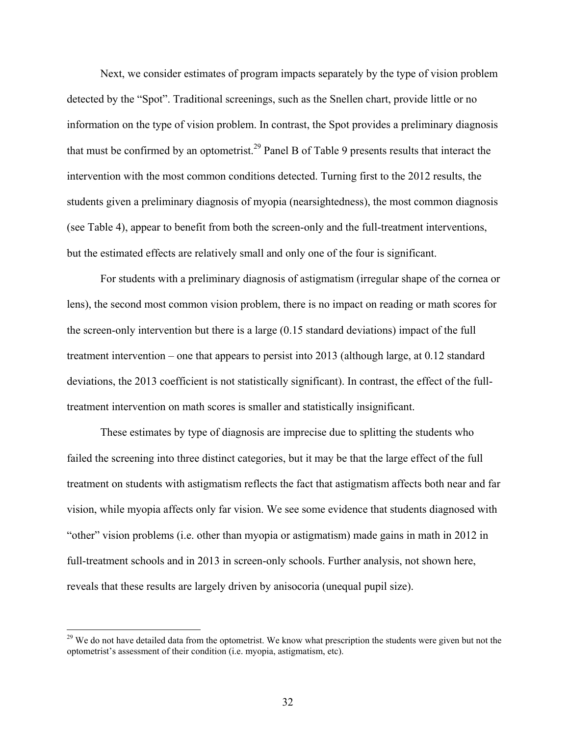Next, we consider estimates of program impacts separately by the type of vision problem detected by the "Spot". Traditional screenings, such as the Snellen chart, provide little or no information on the type of vision problem. In contrast, the Spot provides a preliminary diagnosis that must be confirmed by an optometrist.<sup>29</sup> Panel B of Table 9 presents results that interact the intervention with the most common conditions detected. Turning first to the 2012 results, the students given a preliminary diagnosis of myopia (nearsightedness), the most common diagnosis (see Table 4), appear to benefit from both the screen-only and the full-treatment interventions, but the estimated effects are relatively small and only one of the four is significant.

For students with a preliminary diagnosis of astigmatism (irregular shape of the cornea or lens), the second most common vision problem, there is no impact on reading or math scores for the screen-only intervention but there is a large (0.15 standard deviations) impact of the full treatment intervention – one that appears to persist into 2013 (although large, at 0.12 standard deviations, the 2013 coefficient is not statistically significant). In contrast, the effect of the fulltreatment intervention on math scores is smaller and statistically insignificant.

These estimates by type of diagnosis are imprecise due to splitting the students who failed the screening into three distinct categories, but it may be that the large effect of the full treatment on students with astigmatism reflects the fact that astigmatism affects both near and far vision, while myopia affects only far vision. We see some evidence that students diagnosed with "other" vision problems (i.e. other than myopia or astigmatism) made gains in math in 2012 in full-treatment schools and in 2013 in screen-only schools. Further analysis, not shown here, reveals that these results are largely driven by anisocoria (unequal pupil size).

 $29$  We do not have detailed data from the optometrist. We know what prescription the students were given but not the optometrist's assessment of their condition (i.e. myopia, astigmatism, etc).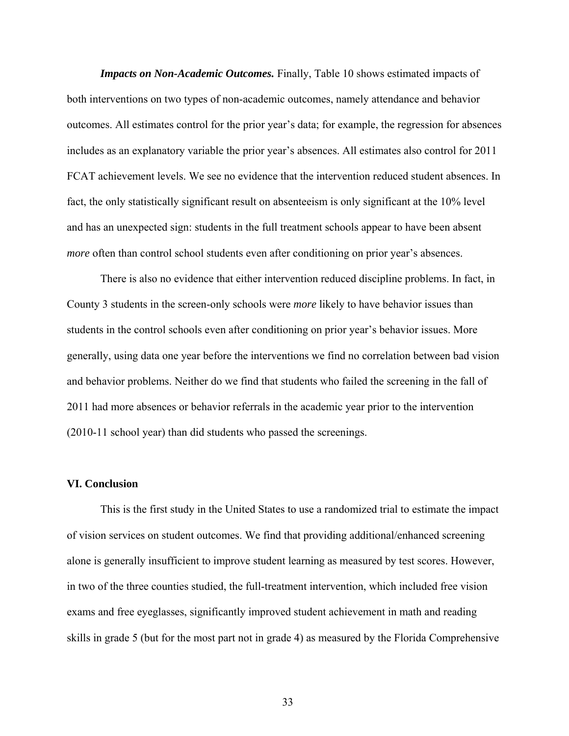*Impacts on Non-Academic Outcomes.* Finally, Table 10 shows estimated impacts of both interventions on two types of non-academic outcomes, namely attendance and behavior outcomes. All estimates control for the prior year's data; for example, the regression for absences includes as an explanatory variable the prior year's absences. All estimates also control for 2011 FCAT achievement levels. We see no evidence that the intervention reduced student absences. In fact, the only statistically significant result on absenteeism is only significant at the 10% level and has an unexpected sign: students in the full treatment schools appear to have been absent *more* often than control school students even after conditioning on prior year's absences.

There is also no evidence that either intervention reduced discipline problems. In fact, in County 3 students in the screen-only schools were *more* likely to have behavior issues than students in the control schools even after conditioning on prior year's behavior issues. More generally, using data one year before the interventions we find no correlation between bad vision and behavior problems. Neither do we find that students who failed the screening in the fall of 2011 had more absences or behavior referrals in the academic year prior to the intervention (2010-11 school year) than did students who passed the screenings.

### **VI. Conclusion**

 This is the first study in the United States to use a randomized trial to estimate the impact of vision services on student outcomes. We find that providing additional/enhanced screening alone is generally insufficient to improve student learning as measured by test scores. However, in two of the three counties studied, the full-treatment intervention, which included free vision exams and free eyeglasses, significantly improved student achievement in math and reading skills in grade 5 (but for the most part not in grade 4) as measured by the Florida Comprehensive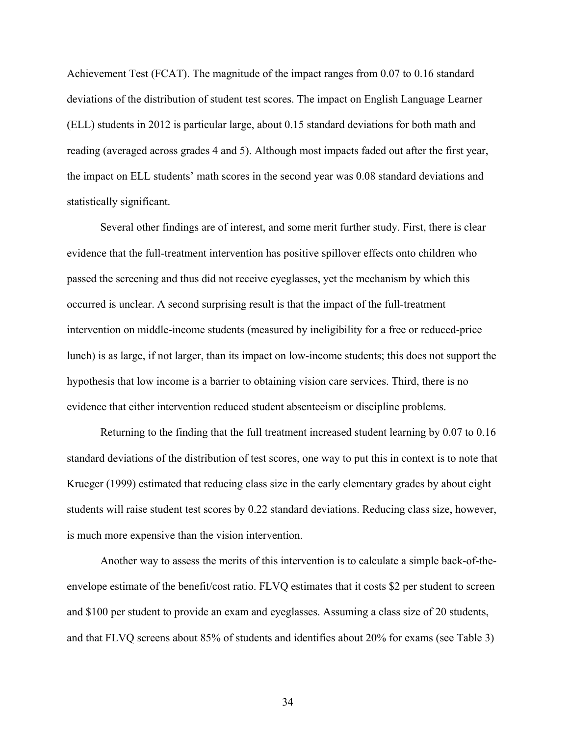Achievement Test (FCAT). The magnitude of the impact ranges from 0.07 to 0.16 standard deviations of the distribution of student test scores. The impact on English Language Learner (ELL) students in 2012 is particular large, about 0.15 standard deviations for both math and reading (averaged across grades 4 and 5). Although most impacts faded out after the first year, the impact on ELL students' math scores in the second year was 0.08 standard deviations and statistically significant.

Several other findings are of interest, and some merit further study. First, there is clear evidence that the full-treatment intervention has positive spillover effects onto children who passed the screening and thus did not receive eyeglasses, yet the mechanism by which this occurred is unclear. A second surprising result is that the impact of the full-treatment intervention on middle-income students (measured by ineligibility for a free or reduced-price lunch) is as large, if not larger, than its impact on low-income students; this does not support the hypothesis that low income is a barrier to obtaining vision care services. Third, there is no evidence that either intervention reduced student absenteeism or discipline problems.

Returning to the finding that the full treatment increased student learning by 0.07 to 0.16 standard deviations of the distribution of test scores, one way to put this in context is to note that Krueger (1999) estimated that reducing class size in the early elementary grades by about eight students will raise student test scores by 0.22 standard deviations. Reducing class size, however, is much more expensive than the vision intervention.

Another way to assess the merits of this intervention is to calculate a simple back-of-theenvelope estimate of the benefit/cost ratio. FLVQ estimates that it costs \$2 per student to screen and \$100 per student to provide an exam and eyeglasses. Assuming a class size of 20 students, and that FLVQ screens about 85% of students and identifies about 20% for exams (see Table 3)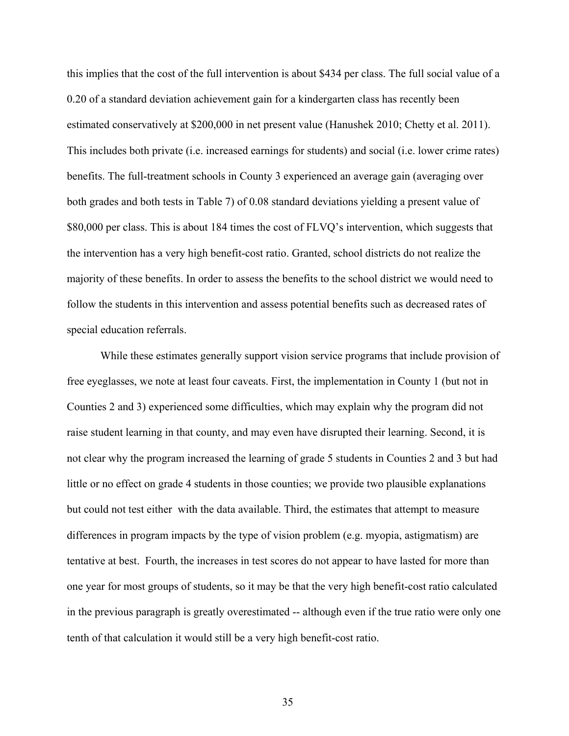this implies that the cost of the full intervention is about \$434 per class. The full social value of a 0.20 of a standard deviation achievement gain for a kindergarten class has recently been estimated conservatively at \$200,000 in net present value (Hanushek 2010; Chetty et al. 2011). This includes both private (i.e. increased earnings for students) and social (i.e. lower crime rates) benefits. The full-treatment schools in County 3 experienced an average gain (averaging over both grades and both tests in Table 7) of 0.08 standard deviations yielding a present value of \$80,000 per class. This is about 184 times the cost of FLVQ's intervention, which suggests that the intervention has a very high benefit-cost ratio. Granted, school districts do not realize the majority of these benefits. In order to assess the benefits to the school district we would need to follow the students in this intervention and assess potential benefits such as decreased rates of special education referrals.

While these estimates generally support vision service programs that include provision of free eyeglasses, we note at least four caveats. First, the implementation in County 1 (but not in Counties 2 and 3) experienced some difficulties, which may explain why the program did not raise student learning in that county, and may even have disrupted their learning. Second, it is not clear why the program increased the learning of grade 5 students in Counties 2 and 3 but had little or no effect on grade 4 students in those counties; we provide two plausible explanations but could not test either with the data available. Third, the estimates that attempt to measure differences in program impacts by the type of vision problem (e.g. myopia, astigmatism) are tentative at best. Fourth, the increases in test scores do not appear to have lasted for more than one year for most groups of students, so it may be that the very high benefit-cost ratio calculated in the previous paragraph is greatly overestimated -- although even if the true ratio were only one tenth of that calculation it would still be a very high benefit-cost ratio.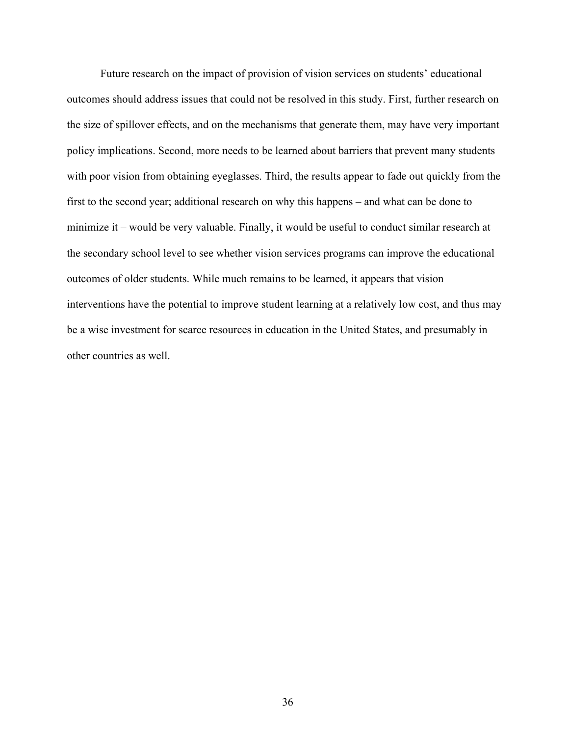Future research on the impact of provision of vision services on students' educational outcomes should address issues that could not be resolved in this study. First, further research on the size of spillover effects, and on the mechanisms that generate them, may have very important policy implications. Second, more needs to be learned about barriers that prevent many students with poor vision from obtaining eyeglasses. Third, the results appear to fade out quickly from the first to the second year; additional research on why this happens – and what can be done to minimize it – would be very valuable. Finally, it would be useful to conduct similar research at the secondary school level to see whether vision services programs can improve the educational outcomes of older students. While much remains to be learned, it appears that vision interventions have the potential to improve student learning at a relatively low cost, and thus may be a wise investment for scarce resources in education in the United States, and presumably in other countries as well.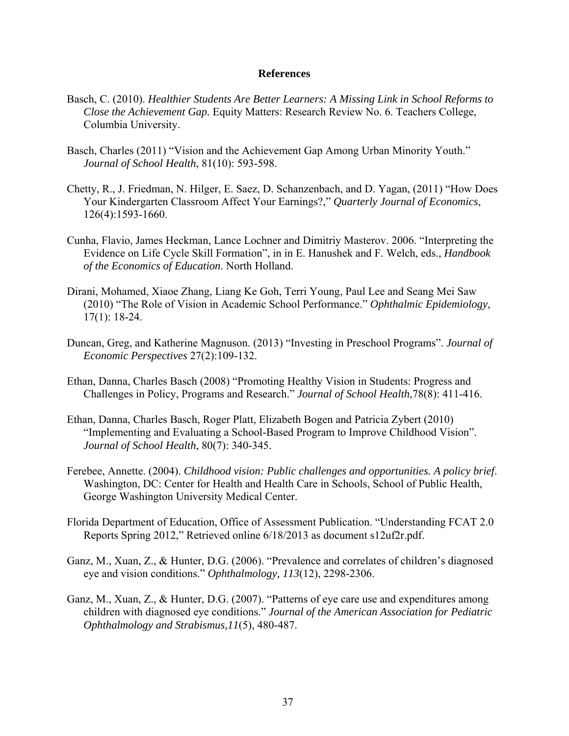#### **References**

- Basch, C. (2010). *Healthier Students Are Better Learners: A Missing Link in School Reforms to Close the Achievement Gap.* Equity Matters: Research Review No. 6. Teachers College, Columbia University.
- Basch, Charles (2011) "Vision and the Achievement Gap Among Urban Minority Youth." *Journal of School Health*, 81(10): 593-598.
- Chetty, R., J. Friedman, N. Hilger, E. Saez, D. Schanzenbach, and D. Yagan, (2011) "How Does Your Kindergarten Classroom Affect Your Earnings?," *Quarterly Journal of Economics*, 126(4):1593-1660.
- Cunha, Flavio, James Heckman, Lance Lochner and Dimitriy Masterov. 2006. "Interpreting the Evidence on Life Cycle Skill Formation", in in E. Hanushek and F. Welch, eds., *Handbook of the Economics of Education*. North Holland.
- Dirani, Mohamed, Xiaoe Zhang, Liang Ke Goh, Terri Young, Paul Lee and Seang Mei Saw (2010) "The Role of Vision in Academic School Performance." *Ophthalmic Epidemiology*, 17(1): 18-24.
- Duncan, Greg, and Katherine Magnuson. (2013) "Investing in Preschool Programs". *Journal of Economic Perspectives* 27(2):109-132.
- Ethan, Danna, Charles Basch (2008) "Promoting Healthy Vision in Students: Progress and Challenges in Policy, Programs and Research." *Journal of School Health*,78(8): 411-416.
- Ethan, Danna, Charles Basch, Roger Platt, Elizabeth Bogen and Patricia Zybert (2010) "Implementing and Evaluating a School-Based Program to Improve Childhood Vision". *Journal of School Health*, 80(7): 340-345.
- Ferebee, Annette. (2004). *Childhood vision: Public challenges and opportunities. A policy brief*. Washington, DC: Center for Health and Health Care in Schools, School of Public Health, George Washington University Medical Center.
- Florida Department of Education, Office of Assessment Publication. "Understanding FCAT 2.0 Reports Spring 2012," Retrieved online 6/18/2013 as document s12uf2r.pdf.
- Ganz, M., Xuan, Z., & Hunter, D.G. (2006). "Prevalence and correlates of children's diagnosed eye and vision conditions." *Ophthalmology, 113*(12), 2298-2306.
- Ganz, M., Xuan, Z., & Hunter, D.G. (2007). "Patterns of eye care use and expenditures among children with diagnosed eye conditions." *Journal of the American Association for Pediatric Ophthalmology and Strabismus,11*(5), 480-487.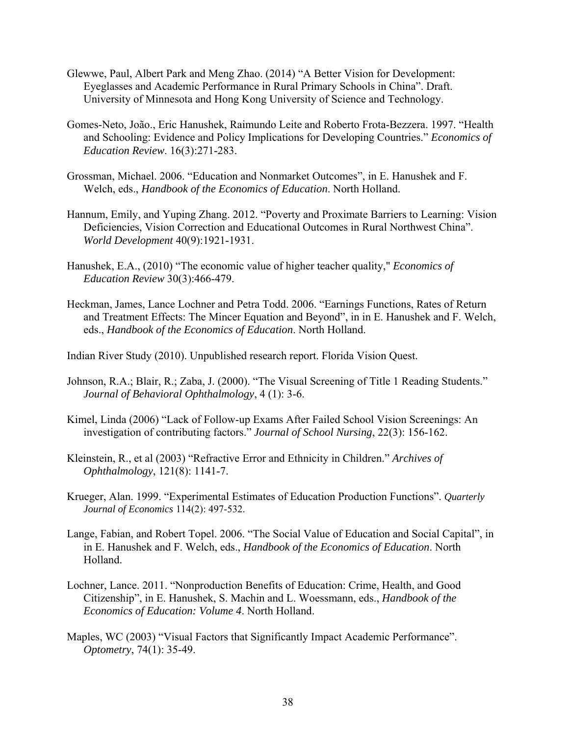- Glewwe, Paul, Albert Park and Meng Zhao. (2014) "A Better Vision for Development: Eyeglasses and Academic Performance in Rural Primary Schools in China". Draft. University of Minnesota and Hong Kong University of Science and Technology.
- Gomes-Neto, João., Eric Hanushek, Raimundo Leite and Roberto Frota-Bezzera. 1997. "Health and Schooling: Evidence and Policy Implications for Developing Countries." *Economics of Education Review*. 16(3):271-283.
- Grossman, Michael. 2006. "Education and Nonmarket Outcomes", in E. Hanushek and F. Welch, eds., *Handbook of the Economics of Education*. North Holland.
- Hannum, Emily, and Yuping Zhang. 2012. "Poverty and Proximate Barriers to Learning: Vision Deficiencies, Vision Correction and Educational Outcomes in Rural Northwest China". *World Development* 40(9):1921-1931.
- Hanushek, E.A., (2010) "The economic value of higher teacher quality," *Economics of Education Review* 30(3):466-479.
- Heckman, James, Lance Lochner and Petra Todd. 2006. "Earnings Functions, Rates of Return and Treatment Effects: The Mincer Equation and Beyond", in in E. Hanushek and F. Welch, eds., *Handbook of the Economics of Education*. North Holland.

Indian River Study (2010). Unpublished research report. Florida Vision Quest.

- Johnson, R.A.; Blair, R.; Zaba, J. (2000). "The Visual Screening of Title 1 Reading Students." *Journal of Behavioral Ophthalmology*, 4 (1): 3-6.
- Kimel, Linda (2006) "Lack of Follow-up Exams After Failed School Vision Screenings: An investigation of contributing factors." *Journal of School Nursing*, 22(3): 156-162.
- Kleinstein, R., et al (2003) "Refractive Error and Ethnicity in Children." *Archives of Ophthalmology*, 121(8): 1141-7.
- Krueger, Alan. 1999. "Experimental Estimates of Education Production Functions". *Quarterly Journal of Economics* 114(2): 497-532.
- Lange, Fabian, and Robert Topel. 2006. "The Social Value of Education and Social Capital", in in E. Hanushek and F. Welch, eds., *Handbook of the Economics of Education*. North Holland.
- Lochner, Lance. 2011. "Nonproduction Benefits of Education: Crime, Health, and Good Citizenship", in E. Hanushek, S. Machin and L. Woessmann, eds., *Handbook of the Economics of Education: Volume 4*. North Holland.
- Maples, WC (2003) "Visual Factors that Significantly Impact Academic Performance". *Optometry*, 74(1): 35-49.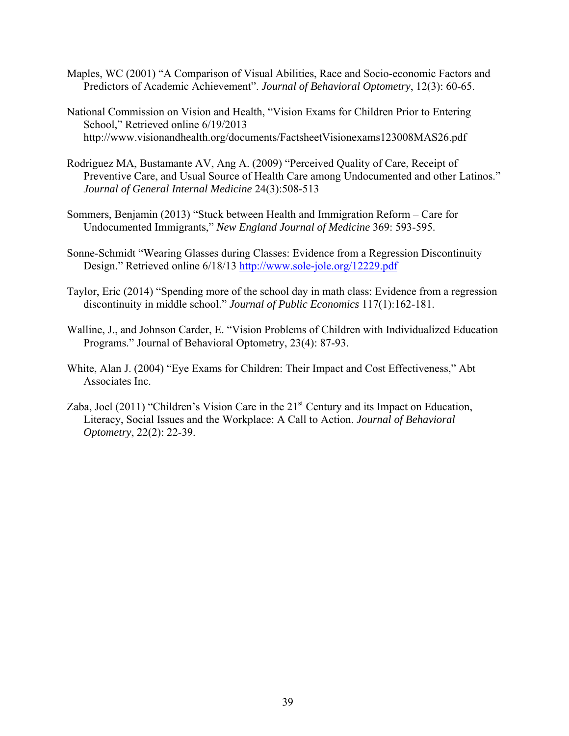- Maples, WC (2001) "A Comparison of Visual Abilities, Race and Socio-economic Factors and Predictors of Academic Achievement". *Journal of Behavioral Optometry*, 12(3): 60-65.
- National Commission on Vision and Health, "Vision Exams for Children Prior to Entering School," Retrieved online 6/19/2013 http://www.visionandhealth.org/documents/FactsheetVisionexams123008MAS26.pdf
- Rodriguez MA, Bustamante AV, Ang A. (2009) "Perceived Quality of Care, Receipt of Preventive Care, and Usual Source of Health Care among Undocumented and other Latinos." *Journal of General Internal Medicine* 24(3):508-513
- Sommers, Benjamin (2013) "Stuck between Health and Immigration Reform Care for Undocumented Immigrants," *New England Journal of Medicine* 369: 593-595.
- Sonne-Schmidt "Wearing Glasses during Classes: Evidence from a Regression Discontinuity Design." Retrieved online 6/18/13 http://www.sole-jole.org/12229.pdf
- Taylor, Eric (2014) "Spending more of the school day in math class: Evidence from a regression discontinuity in middle school." *Journal of Public Economics* 117(1):162-181.
- Walline, J., and Johnson Carder, E. "Vision Problems of Children with Individualized Education Programs." Journal of Behavioral Optometry, 23(4): 87-93.
- White, Alan J. (2004) "Eye Exams for Children: Their Impact and Cost Effectiveness," Abt Associates Inc.
- Zaba, Joel (2011) "Children's Vision Care in the  $21<sup>st</sup>$  Century and its Impact on Education, Literacy, Social Issues and the Workplace: A Call to Action. *Journal of Behavioral Optometry*, 22(2): 22-39.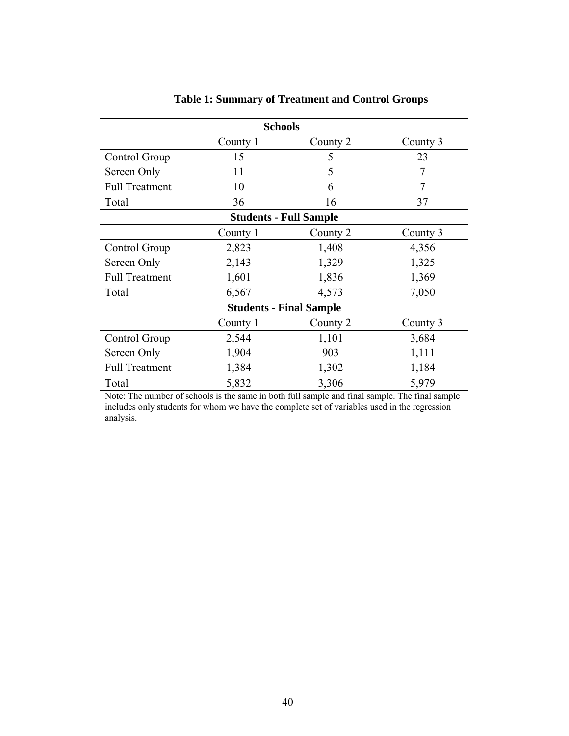|                       | <b>Schools</b> |                                |          |
|-----------------------|----------------|--------------------------------|----------|
|                       | County 1       | County 2                       | County 3 |
| Control Group         | 15             | 5                              | 23       |
| Screen Only           | 11             | 5                              | 7        |
| <b>Full Treatment</b> | 10             | 6                              |          |
| Total                 | 36             | 16                             | 37       |
|                       |                | <b>Students - Full Sample</b>  |          |
|                       | County 1       | County 2                       | County 3 |
| Control Group         | 2,823          | 1,408                          | 4,356    |
| Screen Only           | 2,143          | 1,329                          | 1,325    |
| <b>Full Treatment</b> | 1,601          | 1,836                          | 1,369    |
| Total                 | 6,567          | 4,573                          | 7,050    |
|                       |                | <b>Students - Final Sample</b> |          |
|                       | County 1       | County 2                       | County 3 |
| Control Group         | 2,544          | 1,101                          | 3,684    |
| Screen Only           | 1,904          | 903                            | 1,111    |
| <b>Full Treatment</b> | 1,384          | 1,302                          | 1,184    |
| Total                 | 5,832          | 3,306                          | 5,979    |

# **Table 1: Summary of Treatment and Control Groups**

Note: The number of schools is the same in both full sample and final sample. The final sample includes only students for whom we have the complete set of variables used in the regression analysis.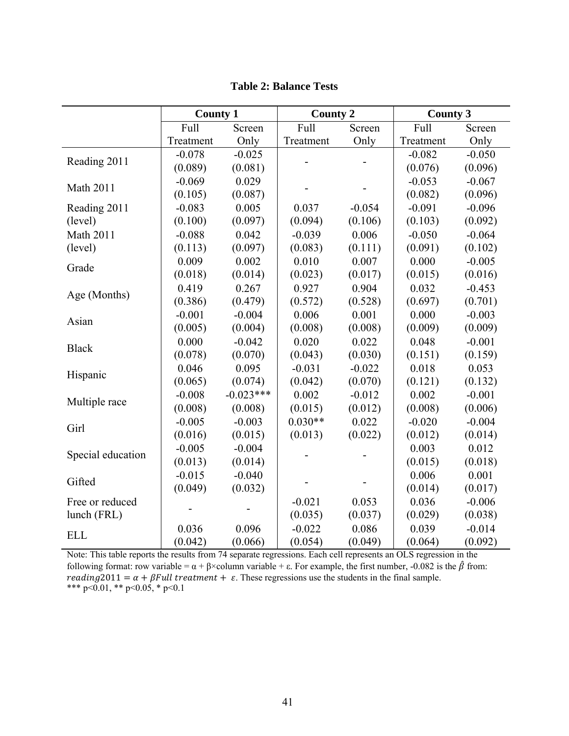|                   | <b>County 1</b> |             | <b>County 2</b> |          | <b>County 3</b> |          |
|-------------------|-----------------|-------------|-----------------|----------|-----------------|----------|
|                   | Full            | Screen      | Full            | Screen   | Full            | Screen   |
|                   | Treatment       | Only        | Treatment       | Only     | Treatment       | Only     |
| Reading 2011      | $-0.078$        | $-0.025$    |                 |          | $-0.082$        | $-0.050$ |
|                   | (0.089)         | (0.081)     |                 |          | (0.076)         | (0.096)  |
| <b>Math 2011</b>  | $-0.069$        | 0.029       |                 |          | $-0.053$        | $-0.067$ |
|                   | (0.105)         | (0.087)     |                 |          | (0.082)         | (0.096)  |
| Reading 2011      | $-0.083$        | 0.005       | 0.037           | $-0.054$ | $-0.091$        | $-0.096$ |
| (level)           | (0.100)         | (0.097)     | (0.094)         | (0.106)  | (0.103)         | (0.092)  |
| <b>Math 2011</b>  | $-0.088$        | 0.042       | $-0.039$        | 0.006    | $-0.050$        | $-0.064$ |
| (level)           | (0.113)         | (0.097)     | (0.083)         | (0.111)  | (0.091)         | (0.102)  |
| Grade             | 0.009           | 0.002       | 0.010           | 0.007    | 0.000           | $-0.005$ |
|                   | (0.018)         | (0.014)     | (0.023)         | (0.017)  | (0.015)         | (0.016)  |
| Age (Months)      | 0.419           | 0.267       | 0.927           | 0.904    | 0.032           | $-0.453$ |
|                   | (0.386)         | (0.479)     | (0.572)         | (0.528)  | (0.697)         | (0.701)  |
| Asian             | $-0.001$        | $-0.004$    | 0.006           | 0.001    | 0.000           | $-0.003$ |
|                   | (0.005)         | (0.004)     | (0.008)         | (0.008)  | (0.009)         | (0.009)  |
| <b>Black</b>      | 0.000           | $-0.042$    | 0.020           | 0.022    | 0.048           | $-0.001$ |
|                   | (0.078)         | (0.070)     | (0.043)         | (0.030)  | (0.151)         | (0.159)  |
| Hispanic          | 0.046           | 0.095       | $-0.031$        | $-0.022$ | 0.018           | 0.053    |
|                   | (0.065)         | (0.074)     | (0.042)         | (0.070)  | (0.121)         | (0.132)  |
| Multiple race     | $-0.008$        | $-0.023***$ | 0.002           | $-0.012$ | 0.002           | $-0.001$ |
|                   | (0.008)         | (0.008)     | (0.015)         | (0.012)  | (0.008)         | (0.006)  |
| Girl              | $-0.005$        | $-0.003$    | $0.030**$       | 0.022    | $-0.020$        | $-0.004$ |
|                   | (0.016)         | (0.015)     | (0.013)         | (0.022)  | (0.012)         | (0.014)  |
| Special education | $-0.005$        | $-0.004$    |                 |          | 0.003           | 0.012    |
|                   | (0.013)         | (0.014)     |                 |          | (0.015)         | (0.018)  |
| Gifted            | $-0.015$        | $-0.040$    |                 |          | 0.006           | 0.001    |
|                   | (0.049)         | (0.032)     |                 |          | (0.014)         | (0.017)  |
| Free or reduced   |                 |             | $-0.021$        | 0.053    | 0.036           | $-0.006$ |
| lunch (FRL)       |                 |             | (0.035)         | (0.037)  | (0.029)         | (0.038)  |
| <b>ELL</b>        | 0.036           | 0.096       | $-0.022$        | 0.086    | 0.039           | $-0.014$ |
|                   | (0.042)         | (0.066)     | (0.054)         | (0.049)  | (0.064)         | (0.092)  |

**Table 2: Balance Tests** 

Note: This table reports the results from 74 separate regressions. Each cell represents an OLS regression in the following format: row variable =  $\alpha + \beta \times$ column variable + ε. For example, the first number, -0.082 is the  $\hat{\beta}$  from: reading 2011 =  $\alpha$  +  $\beta$ Full treatment +  $\varepsilon$ . These regressions use the students in the final sample. \*\*\* p<0.01, \*\* p<0.05, \* p<0.1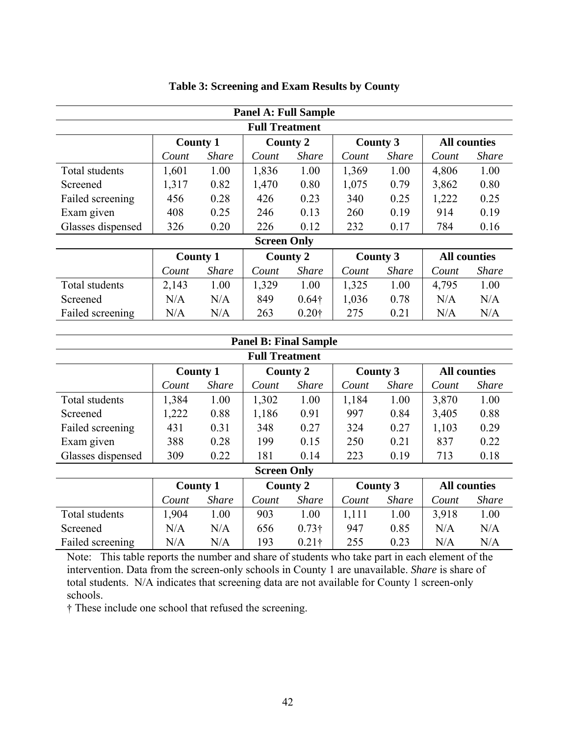|                       |                 |              | <b>Panel A: Full Sample</b> |                   |                 |                 |       |                     |  |  |
|-----------------------|-----------------|--------------|-----------------------------|-------------------|-----------------|-----------------|-------|---------------------|--|--|
| <b>Full Treatment</b> |                 |              |                             |                   |                 |                 |       |                     |  |  |
|                       | <b>County 1</b> |              |                             | <b>County 2</b>   |                 | <b>County 3</b> |       | <b>All counties</b> |  |  |
|                       | Count           | <b>Share</b> | Count                       | <i>Share</i>      | Count           | <b>Share</b>    | Count | <b>Share</b>        |  |  |
| Total students        | 1,601           | 1.00         | 1,836                       | 1.00              | 1,369           | 1.00            | 4,806 | 1.00                |  |  |
| Screened              | 1,317           | 0.82         | 1,470                       | 0.80              | 1,075           | 0.79            | 3,862 | 0.80                |  |  |
| Failed screening      | 456             | 0.28         | 426                         | 0.23              | 340             | 0.25            | 1,222 | 0.25                |  |  |
| Exam given            | 408             | 0.25         | 246                         | 0.13              | 260             | 0.19            | 914   | 0.19                |  |  |
| Glasses dispensed     | 326             | 0.20         | 226                         | 0.12              | 232             | 0.17            | 784   | 0.16                |  |  |
|                       |                 |              | <b>Screen Only</b>          |                   |                 |                 |       |                     |  |  |
|                       | <b>County 1</b> |              |                             | <b>County 2</b>   | <b>County 3</b> |                 |       | <b>All counties</b> |  |  |
|                       | Count           | <b>Share</b> | Count                       | <b>Share</b>      | Count           | <i>Share</i>    | Count | <b>Share</b>        |  |  |
| Total students        | 2,143           | 1.00         | 1,329                       | 1.00              | 1,325           | 1.00            | 4,795 | 1.00                |  |  |
| Screened              | N/A             | N/A          | 849                         | $0.64\dagger$     | 1,036           | 0.78            | N/A   | N/A                 |  |  |
| Failed screening      | N/A             | N/A          | 263                         | 0.20 <sup>†</sup> | 275             | 0.21            | N/A   | N/A                 |  |  |

### **Table 3: Screening and Exam Results by County**

|                       |       |                 | <b>Panel B: Final Sample</b> |                 |       |                 |       |                     |  |  |
|-----------------------|-------|-----------------|------------------------------|-----------------|-------|-----------------|-------|---------------------|--|--|
| <b>Full Treatment</b> |       |                 |                              |                 |       |                 |       |                     |  |  |
|                       |       | <b>County 1</b> |                              | <b>County 2</b> |       | <b>County 3</b> |       | <b>All counties</b> |  |  |
|                       | Count | <b>Share</b>    | Count                        | <b>Share</b>    | Count | <b>Share</b>    | Count | <b>Share</b>        |  |  |
| Total students        | 1,384 | 1.00            | 1,302                        | 1.00            | 1,184 | 1.00            | 3,870 | 1.00                |  |  |
| Screened              | 1,222 | 0.88            | 1,186                        | 0.91            | 997   | 0.84            | 3,405 | 0.88                |  |  |
| Failed screening      | 431   | 0.31            | 348                          | 0.27            | 324   | 0.27            | 1,103 | 0.29                |  |  |
| Exam given            | 388   | 0.28            | 199                          | 0.15            | 250   | 0.21            | 837   | 0.22                |  |  |
| Glasses dispensed     | 309   | 0.22            | 181                          | 0.14            | 223   | 0.19            | 713   | 0.18                |  |  |
|                       |       |                 | <b>Screen Only</b>           |                 |       |                 |       |                     |  |  |
|                       |       | <b>County 1</b> |                              | <b>County 2</b> |       | <b>County 3</b> |       | <b>All counties</b> |  |  |
|                       | Count | <b>Share</b>    | Count                        | <b>Share</b>    | Count | <b>Share</b>    | Count | <b>Share</b>        |  |  |
| Total students        | 1,904 | 1.00            | 903                          | 1.00            | 1,111 | 1.00            | 3,918 | 1.00                |  |  |
| Screened              | N/A   | N/A             | 656                          | $0.73\dagger$   | 947   | 0.85            | N/A   | N/A                 |  |  |
| Failed screening      | N/A   | N/A             | 193                          | $0.21\dagger$   | 255   | 0.23            | N/A   | N/A                 |  |  |

Note: This table reports the number and share of students who take part in each element of the intervention. Data from the screen-only schools in County 1 are unavailable. *Share* is share of total students. N/A indicates that screening data are not available for County 1 screen-only schools.

† These include one school that refused the screening.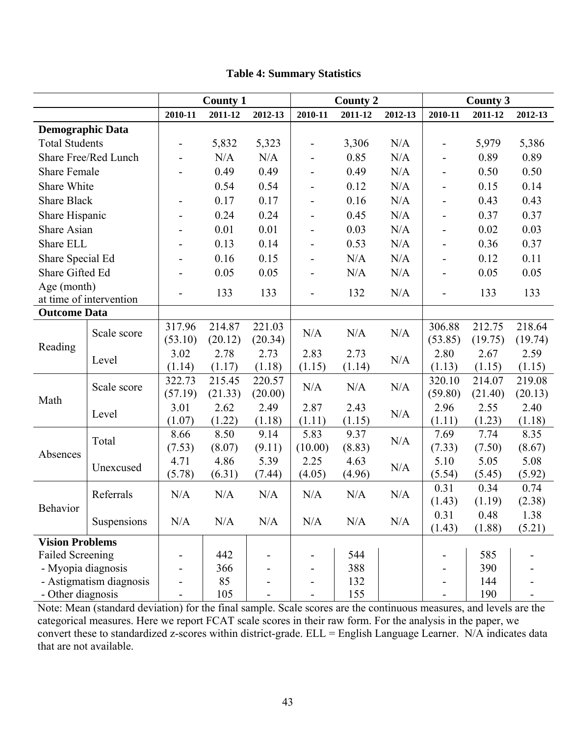|                         |                         |                              | <b>County 1</b>   |                   |                          | <b>County 2</b> |         |                              | <b>County 3</b>   |                   |
|-------------------------|-------------------------|------------------------------|-------------------|-------------------|--------------------------|-----------------|---------|------------------------------|-------------------|-------------------|
|                         |                         | 2010-11                      | 2011-12           | 2012-13           | 2010-11                  | 2011-12         | 2012-13 | 2010-11                      | 2011-12           | 2012-13           |
| <b>Demographic Data</b> |                         |                              |                   |                   |                          |                 |         |                              |                   |                   |
| <b>Total Students</b>   |                         | $\qquad \qquad \blacksquare$ | 5,832             | 5,323             |                          | 3,306           | N/A     | $\qquad \qquad \blacksquare$ | 5,979             | 5,386             |
|                         | Share Free/Red Lunch    | $\overline{\phantom{0}}$     | N/A               | N/A               |                          | 0.85            | N/A     | -                            | 0.89              | 0.89              |
| <b>Share Female</b>     |                         | $\overline{\phantom{a}}$     | 0.49              | 0.49              | -                        | 0.49            | N/A     | $\overline{\phantom{0}}$     | 0.50              | 0.50              |
| Share White             |                         |                              | 0.54              | 0.54              |                          | 0.12            | N/A     | $\qquad \qquad \blacksquare$ | 0.15              | 0.14              |
| <b>Share Black</b>      |                         | $\overline{\phantom{a}}$     | 0.17              | 0.17              |                          | 0.16            | N/A     | $\overline{a}$               | 0.43              | 0.43              |
| Share Hispanic          |                         | $\overline{a}$               | 0.24              | 0.24              |                          | 0.45            | N/A     | $\overline{a}$               | 0.37              | 0.37              |
| Share Asian             |                         |                              | 0.01              | 0.01              |                          | 0.03            | N/A     | $\overline{\phantom{0}}$     | 0.02              | 0.03              |
| Share ELL               |                         |                              | 0.13              | 0.14              | -                        | 0.53            | N/A     | $\overline{\phantom{0}}$     | 0.36              | 0.37              |
| Share Special Ed        |                         | $\overline{\phantom{a}}$     | 0.16              | 0.15              | $\overline{\phantom{0}}$ | N/A             | N/A     | $\overline{\phantom{0}}$     | 0.12              | 0.11              |
| Share Gifted Ed         |                         |                              | 0.05              | 0.05              | $\overline{\phantom{0}}$ | N/A             | N/A     | $\overline{\phantom{0}}$     | 0.05              | 0.05              |
| Age (month)             | at time of intervention |                              | 133               | 133               |                          | 132             | N/A     | L,                           | 133               | 133               |
| <b>Outcome Data</b>     |                         |                              |                   |                   |                          |                 |         |                              |                   |                   |
|                         | Scale score             | 317.96<br>(53.10)            | 214.87<br>(20.12) | 221.03<br>(20.34) | N/A                      | N/A             | N/A     | 306.88<br>(53.85)            | 212.75<br>(19.75) | 218.64<br>(19.74) |
| Reading                 |                         | 3.02                         | 2.78              | 2.73              | 2.83                     | 2.73            |         | 2.80                         | 2.67              | 2.59              |
|                         | Level                   | (1.14)                       | (1.17)            | (1.18)            | (1.15)                   | (1.14)          | N/A     | (1.13)                       | (1.15)            | (1.15)            |
|                         | Scale score             | 322.73<br>(57.19)            | 215.45<br>(21.33) | 220.57<br>(20.00) | N/A                      | N/A             | N/A     | 320.10<br>(59.80)            | 214.07<br>(21.40) | 219.08<br>(20.13) |
| Math                    |                         | 3.01                         | 2.62              | 2.49              | 2.87                     | 2.43            |         | 2.96                         | 2.55              | 2.40              |
|                         | Level                   | (1.07)                       | (1.22)            | (1.18)            | (1.11)                   | (1.15)          | N/A     | (1.11)                       | (1.23)            | (1.18)            |
|                         |                         | 8.66                         | 8.50              | 9.14              | 5.83                     | 9.37            |         | 7.69                         | 7.74              | 8.35              |
|                         | Total                   | (7.53)                       | (8.07)            | (9.11)            | (10.00)                  | (8.83)          | N/A     | (7.33)                       | (7.50)            | (8.67)            |
| Absences                |                         | 4.71                         | 4.86              | 5.39              | 2.25                     | 4.63            |         | 5.10                         | 5.05              | 5.08              |
|                         | Unexcused               | (5.78)                       | (6.31)            | (7.44)            | (4.05)                   | (4.96)          | N/A     | (5.54)                       | (5.45)            | (5.92)            |
|                         | Referrals               | N/A                          | N/A               | N/A               | N/A                      | N/A             | N/A     | 0.31                         | 0.34              | 0.74              |
| Behavior                |                         |                              |                   |                   |                          |                 |         | (1.43)                       | (1.19)            | (2.38)            |
|                         | Suspensions             | N/A                          | N/A               | N/A               | N/A                      | N/A             | N/A     | 0.31                         | 0.48              | 1.38              |
|                         |                         |                              |                   |                   |                          |                 |         | (1.43)                       | (1.88)            | (5.21)            |
| <b>Vision Problems</b>  |                         |                              |                   |                   |                          |                 |         |                              |                   |                   |
| <b>Failed Screening</b> |                         |                              | 442               |                   |                          | 544             |         |                              | 585               |                   |
| - Myopia diagnosis      | - Astigmatism diagnosis |                              | 366<br>85         |                   |                          | 388<br>132      |         |                              | 390<br>144        |                   |
| - Other diagnosis       |                         |                              | 105               |                   |                          | 155             |         |                              | 190               |                   |
|                         |                         |                              |                   |                   |                          |                 |         |                              |                   |                   |

## **Table 4: Summary Statistics**

Note: Mean (standard deviation) for the final sample. Scale scores are the continuous measures, and levels are the categorical measures. Here we report FCAT scale scores in their raw form. For the analysis in the paper, we convert these to standardized z-scores within district-grade. ELL = English Language Learner. N/A indicates data that are not available.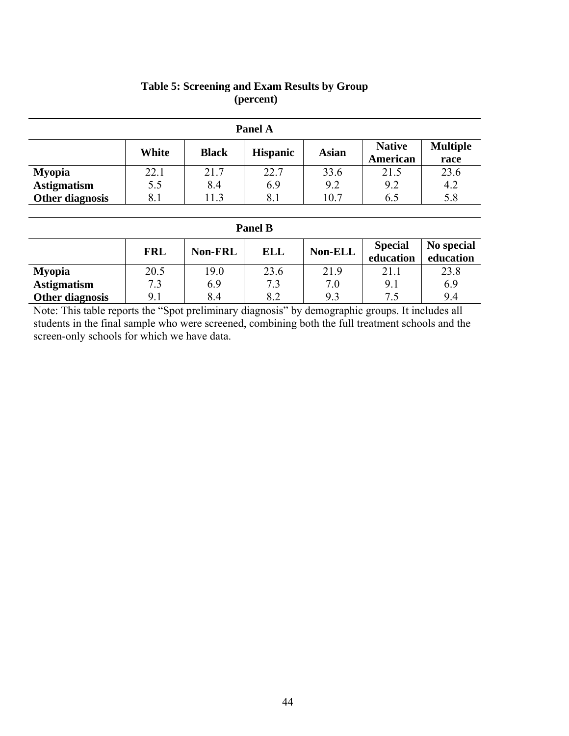|                    |       |              | Panel A         |              |                           |                         |
|--------------------|-------|--------------|-----------------|--------------|---------------------------|-------------------------|
|                    | White | <b>Black</b> | <b>Hispanic</b> | <b>Asian</b> | <b>Native</b><br>American | <b>Multiple</b><br>race |
| <b>Myopia</b>      | 22.1  | 21.7         | 22.7            | 33.6         | 21.5                      | 23.6                    |
| <b>Astigmatism</b> | 5.5   | 8.4          | 6.9             | 9.2          | 9.2                       | 4.2                     |
| Other diagnosis    | 8.1   | 11.3         | 8.1             | 10.7         | 6.5                       | 5.8                     |

# **Table 5: Screening and Exam Results by Group (percent)**

### **Panel B**

|                    | <b>FRL</b> | <b>Non-FRL</b> | <b>ELL</b> | Non-ELL | <b>Special</b><br>education | No special<br>education |
|--------------------|------------|----------------|------------|---------|-----------------------------|-------------------------|
| <b>Myopia</b>      | 20.5       | 19.0           | 23.6       | 21.9    | 21.1                        | 23.8                    |
| <b>Astigmatism</b> | 72         | 6.9            | 7.3        | 7.0     | 9.1                         | 6.9                     |
| Other diagnosis    | 9.1        | 8.4            | 8.2        | 9.3     | 75                          | 9.4                     |

Note: This table reports the "Spot preliminary diagnosis" by demographic groups. It includes all students in the final sample who were screened, combining both the full treatment schools and the screen-only schools for which we have data.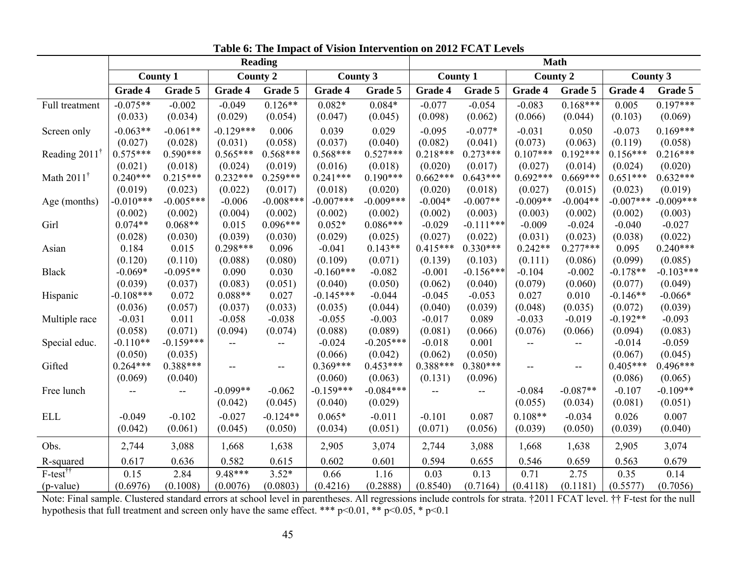|                            |             | <b>Reading</b>           |             |                          |                 |             |                 | <b>Math</b>              |                                     |                          |                 |             |
|----------------------------|-------------|--------------------------|-------------|--------------------------|-----------------|-------------|-----------------|--------------------------|-------------------------------------|--------------------------|-----------------|-------------|
|                            |             | <b>County 1</b>          |             | <b>County 2</b>          | <b>County 3</b> |             | <b>County 1</b> |                          | <b>County 2</b>                     |                          | <b>County 3</b> |             |
|                            | Grade 4     | Grade 5                  | Grade 4     | Grade 5                  | Grade 4         | Grade 5     | Grade 4         | Grade 5                  | Grade 4                             | Grade 5                  | Grade 4         | Grade 5     |
| Full treatment             | $-0.075**$  | $-0.002$                 | $-0.049$    | $0.126**$                | $0.082*$        | $0.084*$    | $-0.077$        | $-0.054$                 | $-0.083$                            | $0.168***$               | 0.005           | $0.197***$  |
|                            | (0.033)     | (0.034)                  | (0.029)     | (0.054)                  | (0.047)         | (0.045)     | (0.098)         | (0.062)                  | (0.066)                             | (0.044)                  | (0.103)         | (0.069)     |
| Screen only                | $-0.063**$  | $-0.061**$               | $-0.129***$ | 0.006                    | 0.039           | 0.029       | $-0.095$        | $-0.077*$                | $-0.031$                            | 0.050                    | $-0.073$        | $0.169***$  |
|                            | (0.027)     | (0.028)                  | (0.031)     | (0.058)                  | (0.037)         | (0.040)     | (0.082)         | (0.041)                  | (0.073)                             | (0.063)                  | (0.119)         | (0.058)     |
| Reading $2011^{\dagger}$   | $0.575***$  | $0.590***$               | $0.565***$  | $0.568***$               | $0.568***$      | $0.527***$  | $0.218***$      | $0.273***$               | $0.107***$                          | $0.192***$               | $0.156***$      | $0.216***$  |
|                            | (0.021)     | (0.018)                  | (0.024)     | (0.019)                  | (0.016)         | (0.018)     | (0.020)         | (0.017)                  | (0.027)                             | (0.014)                  | (0.024)         | (0.020)     |
| Math $2011^{\dagger}$      | $0.240***$  | $0.215***$               | $0.232***$  | $0.259***$               | $0.241***$      | $0.190***$  | $0.662***$      | $0.643***$               | $0.692***$                          | $0.669***$               | $0.651***$      | $0.632***$  |
|                            | (0.019)     | (0.023)                  | (0.022)     | (0.017)                  | (0.018)         | (0.020)     | (0.020)         | (0.018)                  | (0.027)                             | (0.015)                  | (0.023)         | (0.019)     |
| Age (months)               | $-0.010***$ | $-0.005***$              | $-0.006$    | $-0.008***$              | $-0.007***$     | $-0.009***$ | $-0.004*$       | $-0.007**$               | $-0.009**$                          | $-0.004**$               | $-0.007***$     | $-0.009***$ |
|                            | (0.002)     | (0.002)                  | (0.004)     | (0.002)                  | (0.002)         | (0.002)     | (0.002)         | (0.003)                  | (0.003)                             | (0.002)                  | (0.002)         | (0.003)     |
| Girl                       | $0.074**$   | $0.068**$                | 0.015       | $0.096***$               | $0.052*$        | $0.086***$  | $-0.029$        | $-0.111***$              | $-0.009$                            | $-0.024$                 | $-0.040$        | $-0.027$    |
|                            | (0.028)     | (0.030)                  | (0.039)     | (0.030)                  | (0.029)         | (0.025)     | (0.027)         | (0.022)                  | (0.031)                             | (0.023)                  | (0.038)         | (0.022)     |
| Asian                      | 0.184       | 0.015                    | $0.298***$  | 0.096                    | $-0.041$        | $0.143**$   | $0.415***$      | $0.330***$               | $0.242**$                           | $0.277***$               | 0.095           | $0.240***$  |
|                            | (0.120)     | (0.110)                  | (0.088)     | (0.080)                  | (0.109)         | (0.071)     | (0.139)         | (0.103)                  | (0.111)                             | (0.086)                  | (0.099)         | (0.085)     |
| <b>Black</b>               | $-0.069*$   | $-0.095**$               | 0.090       | 0.030                    | $-0.160***$     | $-0.082$    | $-0.001$        | $-0.156***$              | $-0.104$                            | $-0.002$                 | $-0.178**$      | $-0.103***$ |
|                            | (0.039)     | (0.037)                  | (0.083)     | (0.051)                  | (0.040)         | (0.050)     | (0.062)         | (0.040)                  | (0.079)                             | (0.060)                  | (0.077)         | (0.049)     |
| Hispanic                   | $-0.108***$ | 0.072                    | $0.088**$   | 0.027                    | $-0.145***$     | $-0.044$    | $-0.045$        | $-0.053$                 | 0.027                               | 0.010                    | $-0.146**$      | $-0.066*$   |
|                            | (0.036)     | (0.057)                  | (0.037)     | (0.033)                  | (0.035)         | (0.044)     | (0.040)         | (0.039)                  | (0.048)                             | (0.035)                  | (0.072)         | (0.039)     |
| Multiple race              | $-0.031$    | 0.011                    | $-0.058$    | $-0.038$                 | $-0.055$        | $-0.003$    | $-0.017$        | 0.089                    | $-0.033$                            | $-0.019$                 | $-0.192**$      | $-0.093$    |
|                            | (0.058)     | (0.071)                  | (0.094)     | (0.074)                  | (0.088)         | (0.089)     | (0.081)         | (0.066)                  | (0.076)                             | (0.066)                  | (0.094)         | (0.083)     |
| Special educ.              | $-0.110**$  | $-0.159***$              | --          | --                       | $-0.024$        | $-0.205***$ | $-0.018$        | 0.001                    | --                                  | $- -$                    | $-0.014$        | $-0.059$    |
|                            | (0.050)     | (0.035)                  |             |                          | (0.066)         | (0.042)     | (0.062)         | (0.050)                  |                                     |                          | (0.067)         | (0.045)     |
| Gifted                     | $0.264***$  | $0.388***$               | $-$         | $\overline{\phantom{m}}$ | $0.369***$      | $0.453***$  | $0.388***$      | $0.380***$               | $\hspace{0.05cm}$ $\hspace{0.05cm}$ | $\overline{\phantom{a}}$ | $0.405***$      | $0.496***$  |
|                            | (0.069)     | (0.040)                  |             |                          | (0.060)         | (0.063)     | (0.131)         | (0.096)                  |                                     |                          | (0.086)         | (0.065)     |
| Free lunch                 |             | $\overline{\phantom{a}}$ | $-0.099**$  | $-0.062$                 | $-0.159***$     | $-0.084***$ | $- -$           | $\overline{\phantom{a}}$ | $-0.084$                            | $-0.087**$               | $-0.107$        | $-0.109**$  |
|                            |             |                          | (0.042)     | (0.045)                  | (0.040)         | (0.029)     |                 |                          | (0.055)                             | (0.034)                  | (0.081)         | (0.051)     |
| <b>ELL</b>                 | $-0.049$    | $-0.102$                 | $-0.027$    | $-0.124**$               | $0.065*$        | $-0.011$    | $-0.101$        | 0.087                    | $0.108**$                           | $-0.034$                 | 0.026           | 0.007       |
|                            | (0.042)     | (0.061)                  | (0.045)     | (0.050)                  | (0.034)         | (0.051)     | (0.071)         | (0.056)                  | (0.039)                             | (0.050)                  | (0.039)         | (0.040)     |
| Obs.                       | 2,744       | 3,088                    | 1,668       | 1,638                    | 2,905           | 3,074       | 2,744           | 3,088                    | 1,668                               | 1,638                    | 2,905           | 3,074       |
| R-squared                  | 0.617       | 0.636                    | 0.582       | 0.615                    | 0.602           | 0.601       | 0.594           | 0.655                    | 0.546                               | 0.659                    | 0.563           | 0.679       |
| $F-test^{\dagger \dagger}$ | 0.15        | 2.84                     | 9.48***     | $3.52*$                  | 0.66            | 1.16        | 0.03            | 0.13                     | 0.71                                | 2.75                     | 0.35            | 0.14        |
| $(p-value)$                | (0.6976)    | (0.1008)                 | (0.0076)    | (0.0803)                 | (0.4216)        | (0.2888)    | (0.8540)        | (0.7164)                 | (0.4118)                            | (0.1181)                 | (0.5577)        | (0.7056)    |

**Table 6: The Impact of Vision Intervention on 2012 FCAT Levels**

Note: Final sample. Clustered standard errors at school level in parentheses. All regressions include controls for strata. †2011 FCAT level. †† F-test for the null hypothesis that full treatment and screen only have the same effect. \*\*\*  $p<0.01$ , \*\*  $p<0.05$ , \*  $p<0.1$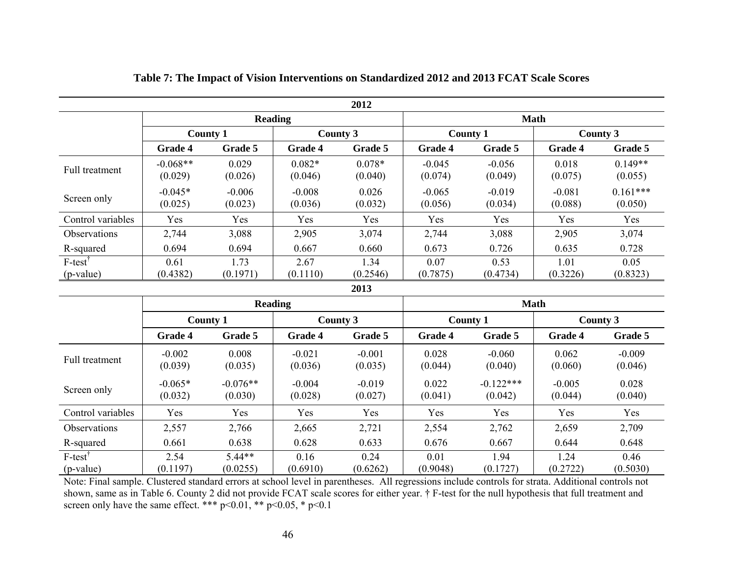|                         |                       |                     |                     | 2012                |                     |                     |                     |                       |
|-------------------------|-----------------------|---------------------|---------------------|---------------------|---------------------|---------------------|---------------------|-----------------------|
|                         |                       | Reading             |                     |                     |                     | <b>Math</b>         |                     |                       |
|                         | <b>County 1</b>       |                     | County 3            |                     | <b>County 1</b>     |                     | County 3            |                       |
|                         | Grade 4               | Grade 5             | Grade 4             | Grade 5             | <b>Grade 4</b>      | Grade 5             | <b>Grade 4</b>      | Grade 5               |
| Full treatment          | $-0.068**$<br>(0.029) | 0.029<br>(0.026)    | $0.082*$<br>(0.046) | $0.078*$<br>(0.040) | $-0.045$<br>(0.074) | $-0.056$<br>(0.049) | 0.018<br>(0.075)    | $0.149**$<br>(0.055)  |
| Screen only             | $-0.045*$<br>(0.025)  | $-0.006$<br>(0.023) | $-0.008$<br>(0.036) | 0.026<br>(0.032)    | $-0.065$<br>(0.056) | $-0.019$<br>(0.034) | $-0.081$<br>(0.088) | $0.161***$<br>(0.050) |
| Control variables       | Yes                   | Yes                 | Yes                 | Yes                 | Yes                 | Yes                 | Yes                 | Yes                   |
| <b>Observations</b>     | 2,744                 | 3,088               | 2,905               | 3,074               | 2,744               | 3,088               | 2,905               | 3,074                 |
| R-squared               | 0.694                 | 0.694               | 0.667               | 0.660               | 0.673               | 0.726               | 0.635               | 0.728                 |
| $F-test^T$<br>(p-value) | 0.61<br>(0.4382)      | 1.73<br>(0.1971)    | 2.67<br>(0.1110)    | 1.34<br>(0.2546)    | 0.07<br>(0.7875)    | 0.53<br>(0.4734)    | 1.01<br>(0.3226)    | 0.05<br>(0.8323)      |
|                         |                       |                     |                     | 2013                |                     |                     |                     |                       |

### **Table 7: The Impact of Vision Interventions on Standardized 2012 and 2013 FCAT Scale Scores**

|                         |                      |                       | <b>Reading</b>      |                     | <b>Math</b>      |                        |                     |                     |  |
|-------------------------|----------------------|-----------------------|---------------------|---------------------|------------------|------------------------|---------------------|---------------------|--|
|                         |                      | <b>County 1</b>       |                     | County 3            |                  | <b>County 1</b>        |                     | County 3            |  |
|                         | <b>Grade 4</b>       | Grade 5               | <b>Grade 4</b>      | Grade 5             | Grade 4          | Grade 5                | Grade 4             | Grade 5             |  |
| Full treatment          | $-0.002$<br>(0.039)  | 0.008<br>(0.035)      | $-0.021$<br>(0.036) | $-0.001$<br>(0.035) | 0.028<br>(0.044) | $-0.060$<br>(0.040)    | 0.062<br>(0.060)    | $-0.009$<br>(0.046) |  |
| Screen only             | $-0.065*$<br>(0.032) | $-0.076**$<br>(0.030) | $-0.004$<br>(0.028) | $-0.019$<br>(0.027) | 0.022<br>(0.041) | $-0.122***$<br>(0.042) | $-0.005$<br>(0.044) | 0.028<br>(0.040)    |  |
| Control variables       | Yes                  | Yes                   | Yes                 | Yes                 | Yes              | Yes                    | Yes                 | Yes                 |  |
| <b>Observations</b>     | 2,557                | 2,766                 | 2,665               | 2,721               | 2,554            | 2,762                  | 2,659               | 2,709               |  |
| R-squared               | 0.661                | 0.638                 | 0.628               | 0.633               | 0.676            | 0.667                  | 0.644               | 0.648               |  |
| $F-test^T$<br>(p-value) | 2.54<br>(0.1197)     | $5.44**$<br>(0.0255)  | 0.16<br>(0.6910)    | 0.24<br>(0.6262)    | 0.01<br>(0.9048) | 1.94<br>(0.1727)       | 1.24<br>(0.2722)    | 0.46<br>(0.5030)    |  |

Note: Final sample. Clustered standard errors at school level in parentheses. All regressions include controls for strata. Additional controls not shown, same as in Table 6. County 2 did not provide FCAT scale scores for either year. † F-test for the null hypothesis that full treatment and screen only have the same effect. \*\*\*  $p<0.01$ , \*\*  $p<0.05$ , \*  $p<0.1$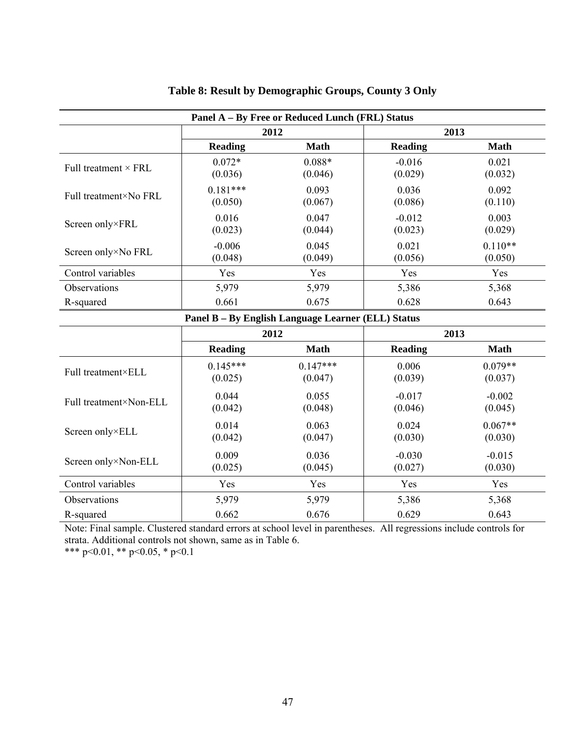|                             |                       | Panel A – By Free or Reduced Lunch (FRL) Status |                     |                      |
|-----------------------------|-----------------------|-------------------------------------------------|---------------------|----------------------|
|                             | 2012                  |                                                 | 2013                |                      |
|                             | <b>Reading</b>        | Math                                            | Reading             | <b>Math</b>          |
| Full treatment $\times$ FRL | $0.072*$<br>(0.036)   | $0.088*$<br>(0.046)                             | $-0.016$<br>(0.029) | 0.021<br>(0.032)     |
| Full treatment×No FRL       | $0.181***$<br>(0.050) | 0.093<br>(0.067)                                | 0.036<br>(0.086)    | 0.092<br>(0.110)     |
| Screen only×FRL             | 0.016<br>(0.023)      | 0.047<br>(0.044)                                | $-0.012$<br>(0.023) | 0.003<br>(0.029)     |
| Screen only×No FRL          | $-0.006$<br>(0.048)   | 0.045<br>(0.049)                                | 0.021<br>(0.056)    | $0.110**$<br>(0.050) |
| Control variables           | Yes                   | Yes                                             | Yes                 | Yes                  |
| Observations                | 5,979                 | 5,979                                           | 5,386               | 5,368                |
| R-squared                   | 0.661                 | 0.675                                           | 0.628               | 0.643                |

# **Table 8: Result by Demographic Groups, County 3 Only**

**Panel B – By English Language Learner (ELL) Status** 

|                        |                       | 2012                  |                     | 2013                 |
|------------------------|-----------------------|-----------------------|---------------------|----------------------|
|                        | <b>Reading</b>        | <b>Math</b>           | <b>Reading</b>      | <b>Math</b>          |
| Full treatment×ELL     | $0.145***$<br>(0.025) | $0.147***$<br>(0.047) | 0.006<br>(0.039)    | $0.079**$<br>(0.037) |
| Full treatment×Non-ELL | 0.044<br>(0.042)      | 0.055<br>(0.048)      | $-0.017$<br>(0.046) | $-0.002$<br>(0.045)  |
| Screen only×ELL        | 0.014<br>(0.042)      | 0.063<br>(0.047)      | 0.024<br>(0.030)    | $0.067**$<br>(0.030) |
| Screen only×Non-ELL    | 0.009<br>(0.025)      | 0.036<br>(0.045)      | $-0.030$<br>(0.027) | $-0.015$<br>(0.030)  |
| Control variables      | Yes                   | Yes                   | Yes                 | Yes                  |
| Observations           | 5,979                 | 5,979                 | 5,386               | 5,368                |
| R-squared              | 0.662                 | 0.676                 | 0.629               | 0.643                |

Note: Final sample. Clustered standard errors at school level in parentheses. All regressions include controls for strata. Additional controls not shown, same as in Table 6.

\*\*\* p<0.01, \*\* p<0.05, \* p<0.1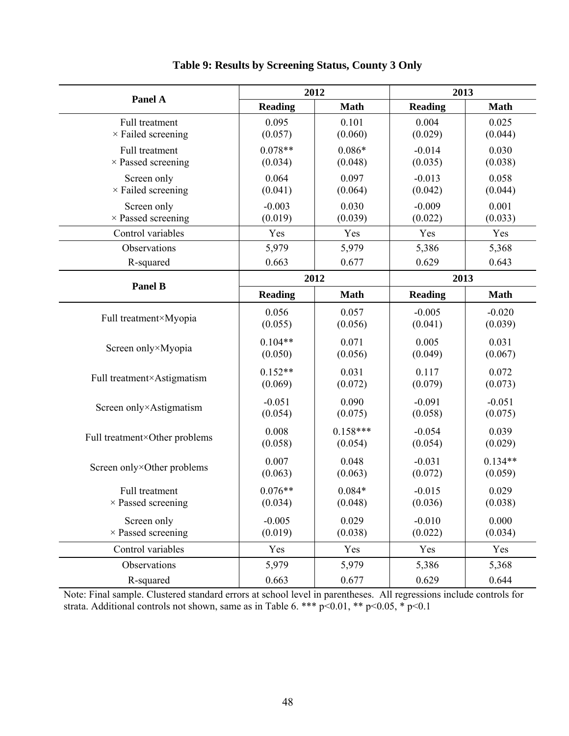|                |                                                                                                                                  | 2013                                                                                                                                      |                                                                                                                                   |  |
|----------------|----------------------------------------------------------------------------------------------------------------------------------|-------------------------------------------------------------------------------------------------------------------------------------------|-----------------------------------------------------------------------------------------------------------------------------------|--|
| <b>Reading</b> | <b>Math</b>                                                                                                                      | <b>Reading</b>                                                                                                                            | <b>Math</b>                                                                                                                       |  |
| 0.095          | 0.101                                                                                                                            | 0.004                                                                                                                                     | 0.025                                                                                                                             |  |
| (0.057)        | (0.060)                                                                                                                          | (0.029)                                                                                                                                   | (0.044)                                                                                                                           |  |
| $0.078**$      | $0.086*$                                                                                                                         | $-0.014$                                                                                                                                  | 0.030                                                                                                                             |  |
| (0.034)        | (0.048)                                                                                                                          |                                                                                                                                           | (0.038)                                                                                                                           |  |
| 0.064          | 0.097                                                                                                                            | $-0.013$                                                                                                                                  | 0.058                                                                                                                             |  |
|                |                                                                                                                                  |                                                                                                                                           | (0.044)                                                                                                                           |  |
| $-0.003$       | 0.030                                                                                                                            | $-0.009$                                                                                                                                  | 0.001                                                                                                                             |  |
|                |                                                                                                                                  |                                                                                                                                           | (0.033)                                                                                                                           |  |
|                |                                                                                                                                  |                                                                                                                                           | Yes                                                                                                                               |  |
|                |                                                                                                                                  |                                                                                                                                           | 5,368                                                                                                                             |  |
|                |                                                                                                                                  |                                                                                                                                           | 0.643                                                                                                                             |  |
|                |                                                                                                                                  | 2013                                                                                                                                      |                                                                                                                                   |  |
| <b>Reading</b> | <b>Math</b>                                                                                                                      | <b>Reading</b>                                                                                                                            | <b>Math</b>                                                                                                                       |  |
| 0.056          | 0.057                                                                                                                            | $-0.005$                                                                                                                                  | $-0.020$                                                                                                                          |  |
| (0.055)        | (0.056)                                                                                                                          | (0.041)                                                                                                                                   | (0.039)                                                                                                                           |  |
| $0.104**$      | 0.071                                                                                                                            | 0.005                                                                                                                                     | 0.031                                                                                                                             |  |
| (0.050)        | (0.056)                                                                                                                          | (0.049)                                                                                                                                   | (0.067)                                                                                                                           |  |
|                |                                                                                                                                  |                                                                                                                                           | 0.072                                                                                                                             |  |
| (0.069)        | (0.072)                                                                                                                          | (0.079)                                                                                                                                   | (0.073)                                                                                                                           |  |
| $-0.051$       | 0.090                                                                                                                            | $-0.091$                                                                                                                                  | $-0.051$                                                                                                                          |  |
| (0.054)        | (0.075)                                                                                                                          | (0.058)                                                                                                                                   | (0.075)                                                                                                                           |  |
|                |                                                                                                                                  |                                                                                                                                           | 0.039                                                                                                                             |  |
| (0.058)        | (0.054)                                                                                                                          | (0.054)                                                                                                                                   | (0.029)                                                                                                                           |  |
|                |                                                                                                                                  |                                                                                                                                           | $0.134**$                                                                                                                         |  |
| (0.063)        | (0.063)                                                                                                                          | (0.072)                                                                                                                                   | (0.059)                                                                                                                           |  |
|                |                                                                                                                                  |                                                                                                                                           | 0.029                                                                                                                             |  |
|                | (0.048)                                                                                                                          | (0.036)                                                                                                                                   | (0.038)                                                                                                                           |  |
|                |                                                                                                                                  |                                                                                                                                           | 0.000                                                                                                                             |  |
|                | (0.038)                                                                                                                          |                                                                                                                                           | (0.034)                                                                                                                           |  |
|                |                                                                                                                                  |                                                                                                                                           | Yes                                                                                                                               |  |
|                |                                                                                                                                  | 5,386                                                                                                                                     | 5,368                                                                                                                             |  |
|                |                                                                                                                                  |                                                                                                                                           |                                                                                                                                   |  |
|                | (0.041)<br>(0.019)<br>Yes<br>5,979<br>0.663<br>$0.152**$<br>0.008<br>0.007<br>$0.076**$<br>(0.034)<br>$-0.005$<br>(0.019)<br>Yes | 2012<br>(0.064)<br>(0.039)<br>Yes<br>5,979<br>0.677<br>2012<br>0.031<br>$0.158***$<br>0.048<br>$0.084*$<br>0.029<br>Yes<br>5,979<br>5,979 | (0.035)<br>(0.042)<br>(0.022)<br>Yes<br>5,386<br>0.629<br>0.117<br>$-0.054$<br>$-0.031$<br>$-0.015$<br>$-0.010$<br>(0.022)<br>Yes |  |

**Table 9: Results by Screening Status, County 3 Only** 

Note: Final sample. Clustered standard errors at school level in parentheses. All regressions include controls for strata. Additional controls not shown, same as in Table 6. \*\*\*  $p<0.01$ , \*\*  $p<0.05$ , \*  $p<0.1$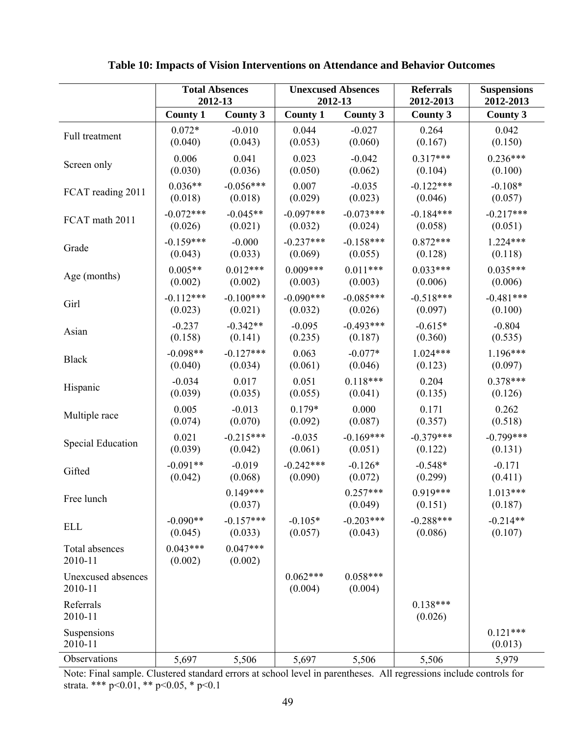|                               | <b>Total Absences</b> |                       | <b>Unexcused Absences</b> |                       | <b>Referrals</b>      | <b>Suspensions</b>    |
|-------------------------------|-----------------------|-----------------------|---------------------------|-----------------------|-----------------------|-----------------------|
|                               | 2012-13               |                       | 2012-13                   |                       | 2012-2013             | 2012-2013             |
|                               | <b>County 1</b>       | <b>County 3</b>       | <b>County 1</b>           | <b>County 3</b>       | <b>County 3</b>       | <b>County 3</b>       |
| Full treatment                | $0.072*$              | $-0.010$              | 0.044                     | $-0.027$              | 0.264                 | 0.042                 |
|                               | (0.040)               | (0.043)               | (0.053)                   | (0.060)               | (0.167)               | (0.150)               |
| Screen only                   | 0.006                 | 0.041                 | 0.023                     | $-0.042$              | $0.317***$            | $0.236***$            |
|                               | (0.030)               | (0.036)               | (0.050)                   | (0.062)               | (0.104)               | (0.100)               |
| FCAT reading 2011             | $0.036**$             | $-0.056***$           | 0.007                     | $-0.035$              | $-0.122***$           | $-0.108*$             |
|                               | (0.018)               | (0.018)               | (0.029)                   | (0.023)               | (0.046)               | (0.057)               |
| FCAT math 2011                | $-0.072***$           | $-0.045**$            | $-0.097***$               | $-0.073***$           | $-0.184***$           | $-0.217***$           |
|                               | (0.026)               | (0.021)               | (0.032)                   | (0.024)               | (0.058)               | (0.051)               |
| Grade                         | $-0.159***$           | $-0.000$              | $-0.237***$               | $-0.158***$           | $0.872***$            | $1.224***$            |
|                               | (0.043)               | (0.033)               | (0.069)                   | (0.055)               | (0.128)               | (0.118)               |
| Age (months)                  | $0.005**$             | $0.012***$            | $0.009***$                | $0.011***$            | $0.033***$            | $0.035***$            |
|                               | (0.002)               | (0.002)               | (0.003)                   | (0.003)               | (0.006)               | (0.006)               |
| Girl                          | $-0.112***$           | $-0.100***$           | $-0.090***$               | $-0.085***$           | $-0.518***$           | $-0.481***$           |
|                               | (0.023)               | (0.021)               | (0.032)                   | (0.026)               | (0.097)               | (0.100)               |
| Asian                         | $-0.237$              | $-0.342**$            | $-0.095$                  | $-0.493***$           | $-0.615*$             | $-0.804$              |
|                               | (0.158)               | (0.141)               | (0.235)                   | (0.187)               | (0.360)               | (0.535)               |
| <b>Black</b>                  | $-0.098**$            | $-0.127***$           | 0.063                     | $-0.077*$             | $1.024***$            | $1.196***$            |
|                               | (0.040)               | (0.034)               | (0.061)                   | (0.046)               | (0.123)               | (0.097)               |
| Hispanic                      | $-0.034$              | 0.017                 | 0.051                     | $0.118***$            | 0.204                 | $0.378***$            |
|                               | (0.039)               | (0.035)               | (0.055)                   | (0.041)               | (0.135)               | (0.126)               |
| Multiple race                 | 0.005                 | $-0.013$              | $0.179*$                  | 0.000                 | 0.171                 | 0.262                 |
|                               | (0.074)               | (0.070)               | (0.092)                   | (0.087)               | (0.357)               | (0.518)               |
| Special Education             | 0.021                 | $-0.215***$           | $-0.035$                  | $-0.169***$           | $-0.379***$           | $-0.799***$           |
|                               | (0.039)               | (0.042)               | (0.061)                   | (0.051)               | (0.122)               | (0.131)               |
| Gifted                        | $-0.091**$            | $-0.019$              | $-0.242***$               | $-0.126*$             | $-0.548*$             | $-0.171$              |
|                               | (0.042)               | (0.068)               | (0.090)                   | (0.072)               | (0.299)               | (0.411)               |
| Free lunch                    |                       | $0.149***$<br>(0.037) |                           | $0.257***$<br>(0.049) | $0.919***$<br>(0.151) | $1.013***$<br>(0.187) |
| <b>ELL</b>                    | $-0.090**$            | $-0.157***$           | $-0.105*$                 | $-0.203***$           | $-0.288***$           | $-0.214**$            |
|                               | (0.045)               | (0.033)               | (0.057)                   | (0.043)               | (0.086)               | (0.107)               |
| Total absences<br>2010-11     | $0.043***$<br>(0.002) | $0.047***$<br>(0.002) |                           |                       |                       |                       |
| Unexcused absences<br>2010-11 |                       |                       | $0.062***$<br>(0.004)     | $0.058***$<br>(0.004) |                       |                       |
| Referrals<br>2010-11          |                       |                       |                           |                       | $0.138***$<br>(0.026) |                       |
| Suspensions<br>2010-11        |                       |                       |                           |                       |                       | $0.121***$<br>(0.013) |
| Observations                  | 5,697                 | 5,506                 | 5,697                     | 5,506                 | 5,506                 | 5,979                 |

**Table 10: Impacts of Vision Interventions on Attendance and Behavior Outcomes** 

Note: Final sample. Clustered standard errors at school level in parentheses. All regressions include controls for strata. \*\*\* p<0.01, \*\* p<0.05, \* p<0.1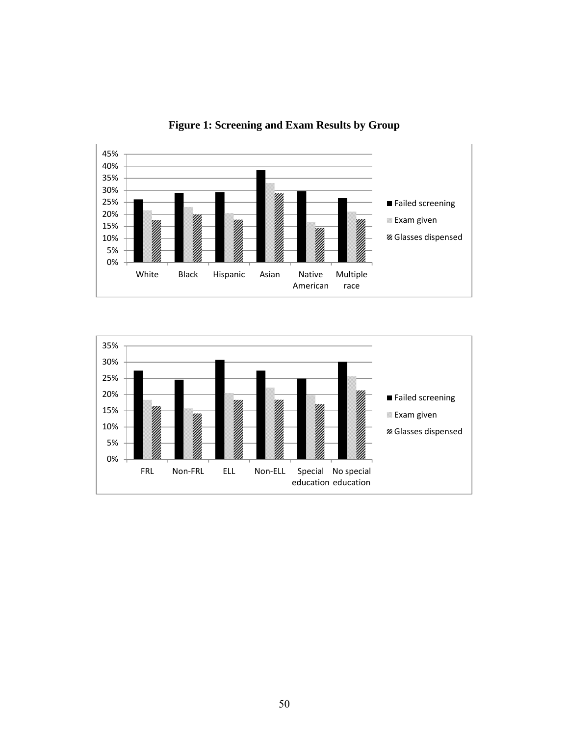

**Figure 1: Screening and Exam Results by Group** 

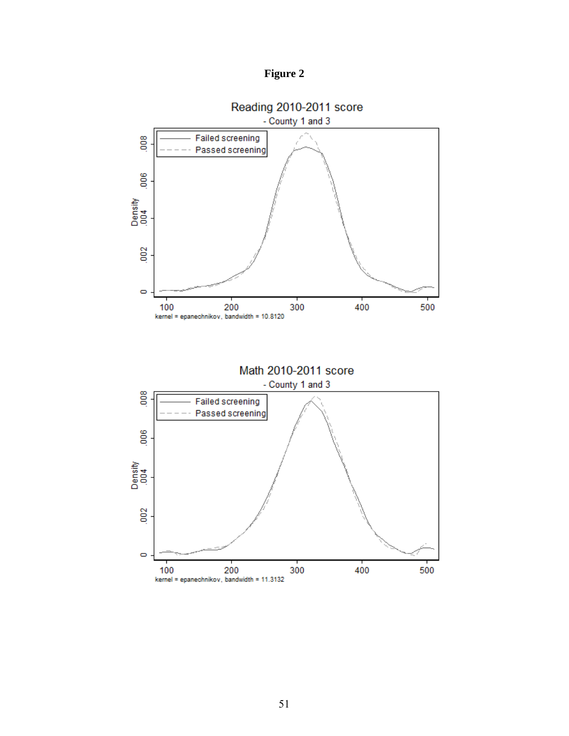